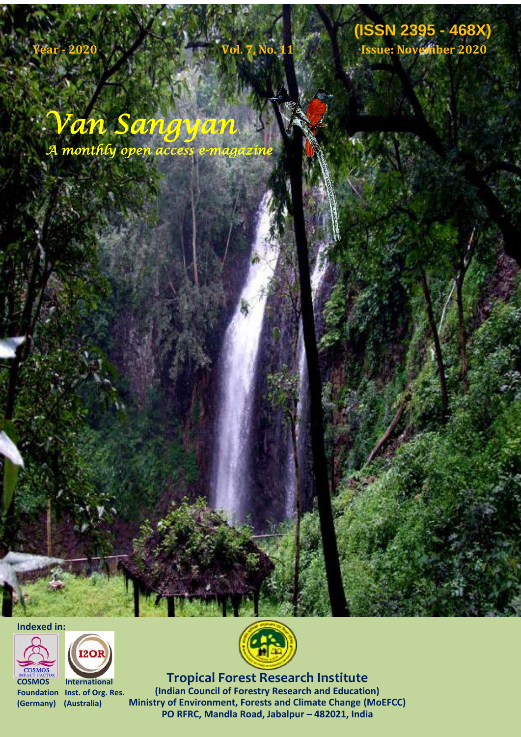# **Van Sangyan (ISSN 2395 - 468X) Vol. 7, No. 11, Issue: November 2020 (ISSN 2395 - 468X) Year - 2020 Vol. 7, No. 11 Issue: November 2020**

*Van Sangyan A monthly open access e-magazine* 

**Indexed in:**



**COSMOS International Foundation Inst. of Org. Res. (Germany) (Australia)**





**Published by Tropical Formalism** *Institutional* Inst. of Org. Res. (Indian Council of Forestry Research and Education) **Tropical Forest Research Institute** 2/18/2014 **Ministry of Environment, Forests and Climate Change (MoEFCC) PO RFRC, Mandla Road, Jabalpur – 482021, India**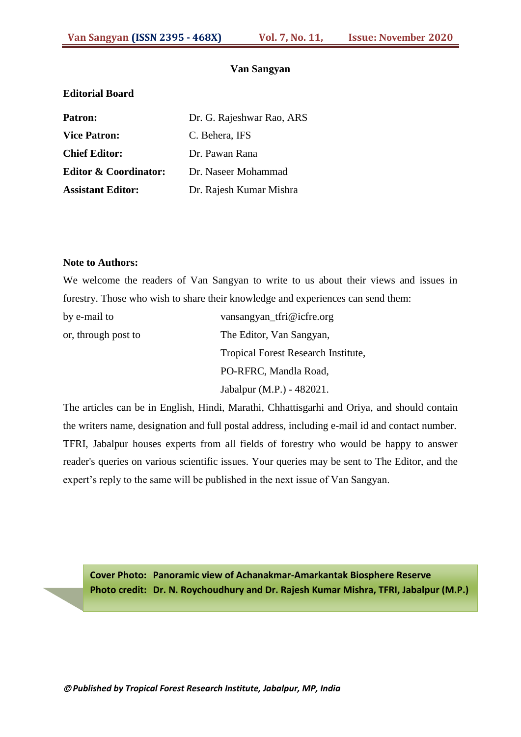#### **Van Sangyan**

#### **Editorial Board**

Patron: Dr. G. Rajeshwar Rao, ARS **Vice Patron:** C. Behera, IFS **Chief Editor:** [Dr. Pawan Rana](file:///E:\Desktop\website\VanSangyan\Van-Vangyan\index.html) **[Editor & Coordinator:](file:///E:\Desktop\website\VanSangyan\Van-Vangyan\index.html)** Dr. Naseer Mohammad **Assistant Editor:** Dr. Rajesh Kumar Mishra

#### **Note to Authors:**

We welcome the readers of Van Sangyan to write to us about their views and issues in forestry. Those who wish to share their knowledge and experiences can send them:

| by e-mail to        | vansangyan_tfri@icfre.org                  |
|---------------------|--------------------------------------------|
| or, through post to | The Editor, Van Sangyan,                   |
|                     | <b>Tropical Forest Research Institute,</b> |
|                     | PO-RFRC, Mandla Road,                      |
|                     | Jabalpur (M.P.) - 482021.                  |

The articles can be in English, Hindi, Marathi, Chhattisgarhi and Oriya, and should contain the writers name, designation and full postal address, including e-mail id and contact number. TFRI, Jabalpur houses experts from all fields of forestry who would be happy to answer reader's queries on various scientific issues. Your queries may be sent to The Editor, and the expert's reply to the same will be published in the next issue of Van Sangyan.

**Cover Photo: Panoramic view of Achanakmar-Amarkantak Biosphere Reserve Photo credit: Dr. N. Roychoudhury and Dr. Rajesh Kumar Mishra, TFRI, Jabalpur (M.P.)**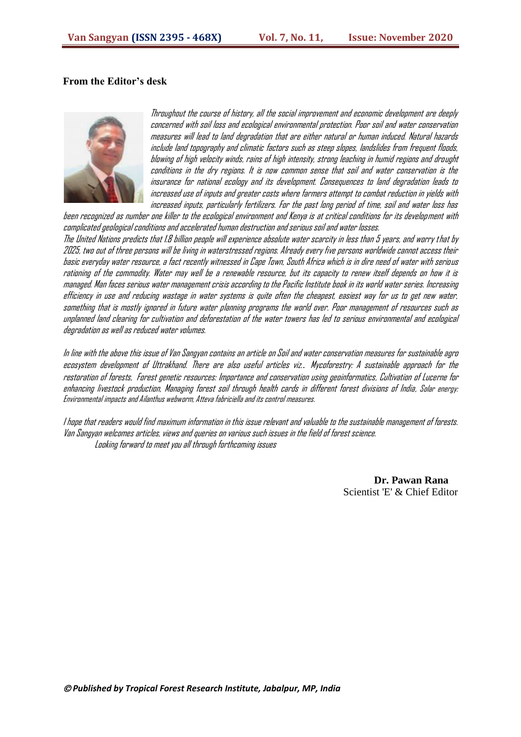#### **From the Editor's desk**



Throughout the course of history, all the social improvement and economic development are deeply concerned with soil loss and ecological environmental protection. Poor soil and water conservation measures will lead to land degradation that are either natural or human induced. Natural hazards include land topography and climatic factors such as steep slopes, landslides from frequent floods, blowing of high velocity winds, rains of high intensity, strong leaching in humid regions and drought conditions in the dry regions. It is now common sense that soil and water conservation is the insurance for national ecology and its development. Consequences to land degradation leads to increased use of inputs and greater costs where farmers attempt to combat reduction in yields with increased inputs, particularly fertilizers. For the past long period of time, soil and water loss has

been recognized as number one killer to the ecological environment and Kenya is at critical conditions for its development with complicated geological conditions and accelerated human destruction and serious soil and water losses. The United Nations predicts that 1.8 billion people will experience absolute water scarcity in less than 5 years, and worry that by 2025, two out of three persons will be living in waterstressed regions. Already every five persons worldwide cannot access their basic everyday water resource, a fact recently witnessed in Cape Town, South Africa which is in dire need of water with serious rationing of the commodity. Water may well be a renewable resource, but its capacity to renew itself depends on how it is managed. Man faces serious water management crisis according to the Pacific Institute book in its world water series. Increasing efficiency in use and reducing wastage in water systems is quite often the cheapest, easiest way for us to get new water, something that is mostly ignored in future water planning programs the world over. Poor management of resources such as unplanned land clearing for cultivation and deforestation of the water towers has led to serious environmental and ecological degradation as well as reduced water volumes.

In line with the above this issue of Van Sangyan contains an article on Soil and water conservation measures for sustainable agro ecosystem development of Uttrakhand. There are also useful articles viz.. Mycoforestry: A sustainable approach for the restoration of forests, Forest genetic resources: Importance and conservation using geoinformatics, Cultivation of Lucerne for enhancing livestock production, Managing forest soil through health cards in different forest divisions of India, Solar energy: Environmental impacts and Ailanthus webworm, Atteva fabriciella and its control measures.

I hope that readers would find maximum information in this issue relevant and valuable to the sustainable management of forests. Van Sangyan welcomes articles, views and queries on various such issues in the field of forest science. Looking forward to meet you all through forthcoming issues

> **Dr. Pawan Rana** Scientist 'E' & Chief Editor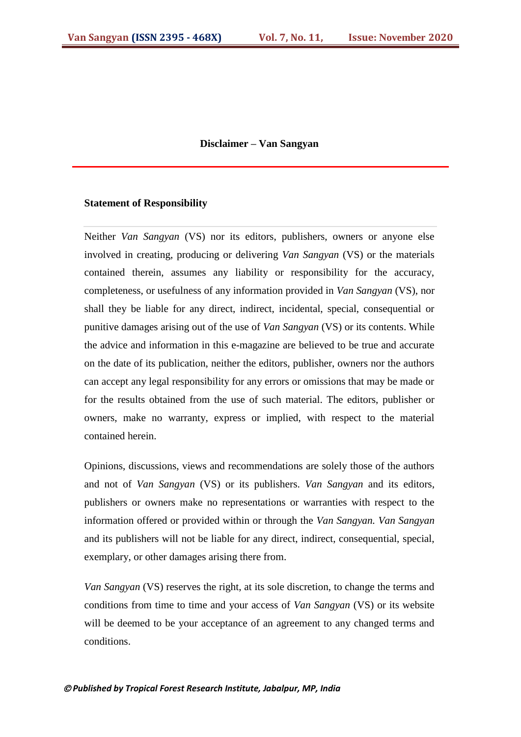#### **Disclaimer – Van Sangyan**

#### **Statement of Responsibility**

Neither *Van Sangyan* (VS) nor its editors, publishers, owners or anyone else involved in creating, producing or delivering *Van Sangyan* (VS) or the materials contained therein, assumes any liability or responsibility for the accuracy, completeness, or usefulness of any information provided in *Van Sangyan* (VS), nor shall they be liable for any direct, indirect, incidental, special, consequential or punitive damages arising out of the use of *Van Sangyan* (VS) or its contents. While the advice and information in this e-magazine are believed to be true and accurate on the date of its publication, neither the editors, publisher, owners nor the authors can accept any legal responsibility for any errors or omissions that may be made or for the results obtained from the use of such material. The editors, publisher or owners, make no warranty, express or implied, with respect to the material contained herein.

Opinions, discussions, views and recommendations are solely those of the authors and not of *Van Sangyan* (VS) or its publishers. *Van Sangyan* and its editors, publishers or owners make no representations or warranties with respect to the information offered or provided within or through the *Van Sangyan. Van Sangyan* and its publishers will not be liable for any direct, indirect, consequential, special, exemplary, or other damages arising there from.

*Van Sangyan* (VS) reserves the right, at its sole discretion, to change the terms and conditions from time to time and your access of *Van Sangyan* (VS) or its website will be deemed to be your acceptance of an agreement to any changed terms and conditions.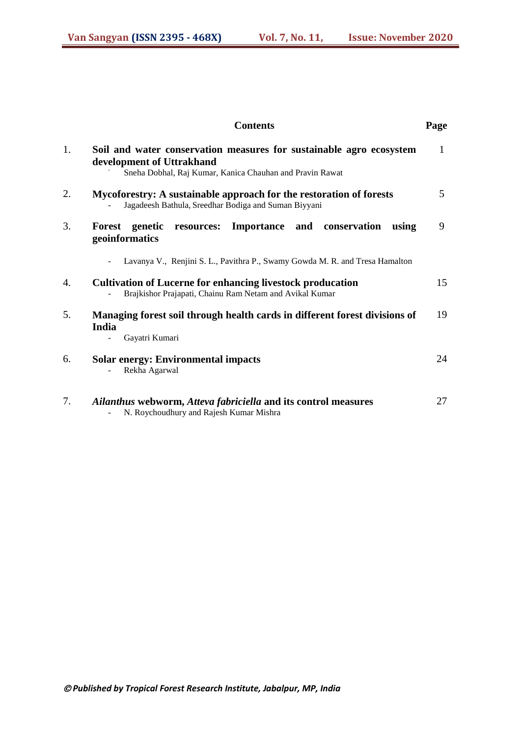|    | <b>Contents</b>                                                                                                                                              | Page |
|----|--------------------------------------------------------------------------------------------------------------------------------------------------------------|------|
| 1. | Soil and water conservation measures for sustainable agro ecosystem<br>development of Uttrakhand<br>Sneha Dobhal, Raj Kumar, Kanica Chauhan and Pravin Rawat |      |
| 2. | Mycoforestry: A sustainable approach for the restoration of forests<br>Jagadeesh Bathula, Sreedhar Bodiga and Suman Biyyani                                  |      |
| 3. | Importance and conservation<br>Forest<br>genetic<br>resources:<br>using<br>geoinformatics                                                                    | 9    |
|    | Lavanya V., Renjini S. L., Pavithra P., Swamy Gowda M. R. and Tresa Hamalton                                                                                 |      |
| 4. | <b>Cultivation of Lucerne for enhancing livestock producation</b><br>Brajkishor Prajapati, Chainu Ram Netam and Avikal Kumar                                 |      |
| 5. | Managing forest soil through health cards in different forest divisions of<br>India<br>Gayatri Kumari                                                        |      |
| 6. | <b>Solar energy: Environmental impacts</b><br>Rekha Agarwal                                                                                                  | 24   |
| 7. | Ailanthus webworm, Atteva fabriciella and its control measures<br>N. Roychoudhury and Rajesh Kumar Mishra                                                    | 27   |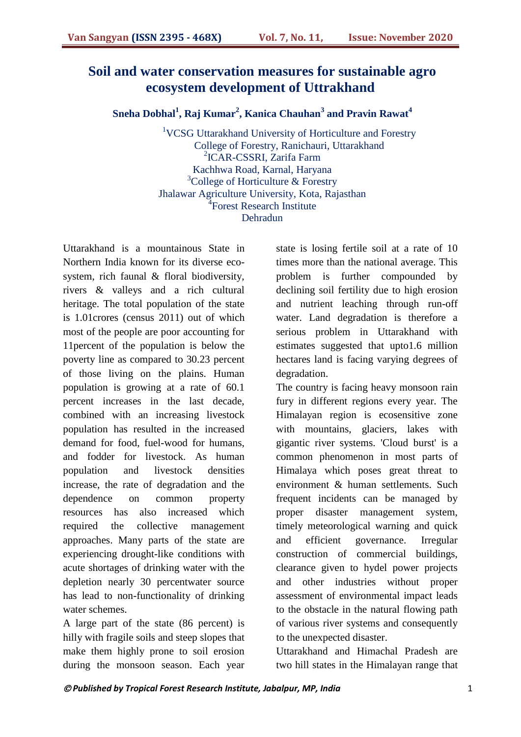## **Soil and water conservation measures for sustainable agro ecosystem development of Uttrakhand**

**Sneha Dobhal<sup>1</sup> , Raj Kumar<sup>2</sup> , Kanica Chauhan<sup>3</sup> and Pravin Rawat<sup>4</sup>**

<sup>1</sup>VCSG Uttarakhand University of Horticulture and Forestry College of Forestry, Ranichauri, Uttarakhand 2 ICAR-CSSRI, Zarifa Farm Kachhwa Road, Karnal, Haryana <sup>3</sup>College of Horticulture & Forestry Jhalawar Agriculture University, Kota, Rajasthan <sup>4</sup>Forest Research Institute Dehradun

Uttarakhand is a mountainous State in Northern India known for its diverse ecosystem, rich faunal & floral biodiversity, rivers & valleys and a rich cultural heritage. The total population of the state is 1.01crores (census 2011) out of which most of the people are poor accounting for 11percent of the population is below the poverty line as compared to 30.23 percent of those living on the plains. Human population is growing at a rate of 60.1 percent increases in the last decade, combined with an increasing livestock population has resulted in the increased demand for food, fuel-wood for humans, and fodder for livestock. As human population and livestock densities increase, the rate of degradation and the dependence on common property resources has also increased which required the collective management approaches. Many parts of the state are experiencing drought-like conditions with acute shortages of drinking water with the depletion nearly 30 percentwater source has lead to non-functionality of drinking water schemes.

A large part of the state (86 percent) is hilly with fragile soils and steep slopes that make them highly prone to soil erosion during the monsoon season. Each year state is losing fertile soil at a rate of 10 times more than the national average. This problem is further compounded by declining soil fertility due to high erosion and nutrient leaching through run-off water. Land degradation is therefore a serious problem in Uttarakhand with estimates suggested that upto1.6 million hectares land is facing varying degrees of degradation.

The country is facing heavy monsoon rain fury in different regions every year. The Himalayan region is ecosensitive zone with mountains, glaciers, lakes with gigantic river systems. 'Cloud burst' is a common phenomenon in most parts of Himalaya which poses great threat to environment & human settlements. Such frequent incidents can be managed by proper disaster management system, timely meteorological warning and quick and efficient governance. Irregular construction of commercial buildings, clearance given to hydel power projects and other industries without proper assessment of environmental impact leads to the obstacle in the natural flowing path of various river systems and consequently to the unexpected disaster.

Uttarakhand and Himachal Pradesh are two hill states in the Himalayan range that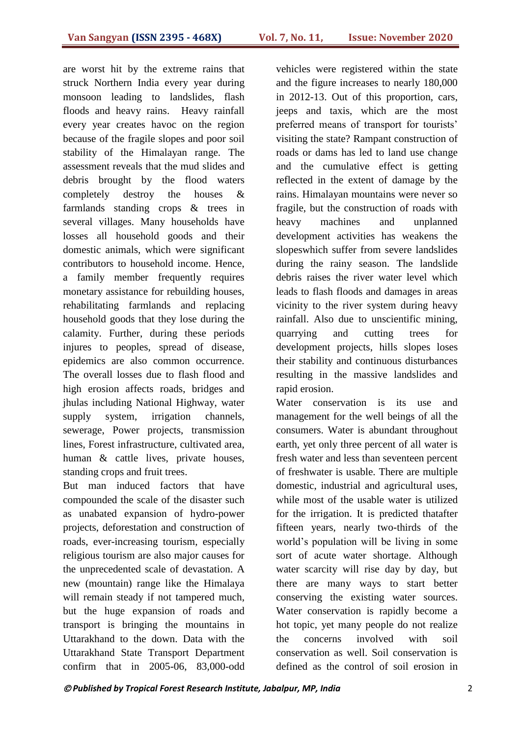are worst hit by the extreme rains that struck Northern India every year during monsoon leading to landslides, flash floods and heavy rains. Heavy rainfall every year creates havoc on the region because of the fragile slopes and poor soil stability of the Himalayan range. The assessment reveals that the mud slides and debris brought by the flood waters completely destroy the houses & farmlands standing crops & trees in several villages. Many households have losses all household goods and their domestic animals, which were significant contributors to household income. Hence, a family member frequently requires monetary assistance for rebuilding houses, rehabilitating farmlands and replacing household goods that they lose during the calamity. Further, during these periods injures to peoples, spread of disease, epidemics are also common occurrence. The overall losses due to flash flood and high erosion affects roads, bridges and jhulas including National Highway, water supply system, irrigation channels, sewerage, Power projects, transmission lines, Forest infrastructure, cultivated area, human & cattle lives, private houses, standing crops and fruit trees.

But man induced factors that have compounded the scale of the disaster such as unabated expansion of hydro-power projects, deforestation and construction of roads, ever-increasing tourism, especially religious tourism are also major causes for the unprecedented scale of devastation. A new (mountain) range like the Himalaya will remain steady if not tampered much, but the huge expansion of roads and transport is bringing the mountains in Uttarakhand to the down. Data with the Uttarakhand State Transport Department confirm that in 2005-06, 83,000-odd

vehicles were registered within the state and the figure increases to nearly 180,000 in 2012-13. Out of this proportion, cars, jeeps and taxis, which are the most preferred means of transport for tourists' visiting the state? Rampant construction of roads or dams has led to land use change and the cumulative effect is getting reflected in the extent of damage by the rains. Himalayan mountains were never so fragile, but the construction of roads with heavy machines and unplanned development activities has weakens the slopeswhich suffer from severe landslides during the rainy season. The landslide debris raises the river water level which leads to flash floods and damages in areas vicinity to the river system during heavy rainfall. Also due to unscientific mining, quarrying and cutting trees for development projects, hills slopes loses their stability and continuous disturbances resulting in the massive landslides and rapid erosion.

Water conservation is its use and management for the well beings of all the consumers. Water is abundant throughout earth, yet only three percent of all water is fresh water and less than seventeen percent of freshwater is usable. There are multiple domestic, industrial and agricultural uses, while most of the usable water is utilized for the irrigation. It is predicted thatafter fifteen years, nearly two-thirds of the world"s population will be living in some sort of acute water shortage. Although water scarcity will rise day by day, but there are many ways to start better conserving the existing water sources. Water conservation is rapidly become a hot topic, yet many people do not realize the concerns involved with soil conservation as well. Soil conservation is defined as the control of soil erosion in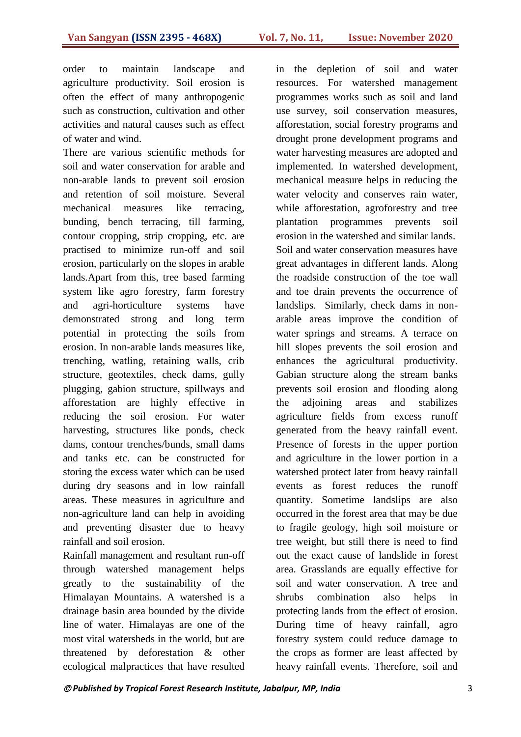order to maintain landscape and agriculture productivity. Soil erosion is often the effect of many anthropogenic such as construction, cultivation and other activities and natural causes such as effect of water and wind.

There are various scientific methods for soil and water conservation for arable and non-arable lands to prevent soil erosion and retention of soil moisture. Several mechanical measures like terracing, bunding, bench terracing, till farming, contour cropping, strip cropping, etc. are practised to minimize run-off and soil erosion, particularly on the slopes in arable lands.Apart from this, tree based farming system like agro forestry, farm forestry and agri-horticulture systems have demonstrated strong and long term potential in protecting the soils from erosion. In non-arable lands measures like, trenching, watling, retaining walls, crib structure, geotextiles, check dams, gully plugging, gabion structure, spillways and afforestation are highly effective in reducing the soil erosion. For water harvesting, structures like ponds, check dams, contour trenches/bunds, small dams and tanks etc. can be constructed for storing the excess water which can be used during dry seasons and in low rainfall areas. These measures in agriculture and non-agriculture land can help in avoiding and preventing disaster due to heavy rainfall and soil erosion.

Rainfall management and resultant run-off through watershed management helps greatly to the sustainability of the Himalayan Mountains. A watershed is a drainage basin area bounded by the divide line of water. Himalayas are one of the most vital watersheds in the world, but are threatened by deforestation & other ecological malpractices that have resulted

in the depletion of soil and water resources. For watershed management programmes works such as soil and land use survey, soil conservation measures, afforestation, social forestry programs and drought prone development programs and water harvesting measures are adopted and implemented. In watershed development, mechanical measure helps in reducing the water velocity and conserves rain water, while afforestation, agroforestry and tree plantation programmes prevents soil erosion in the watershed and similar lands. Soil and water conservation measures have great advantages in different lands. Along the roadside construction of the toe wall and toe drain prevents the occurrence of landslips. Similarly, check dams in nonarable areas improve the condition of water springs and streams. A terrace on hill slopes prevents the soil erosion and enhances the agricultural productivity. Gabian structure along the stream banks prevents soil erosion and flooding along the adjoining areas and stabilizes agriculture fields from excess runoff generated from the heavy rainfall event. Presence of forests in the upper portion and agriculture in the lower portion in a watershed protect later from heavy rainfall events as forest reduces the runoff quantity. Sometime landslips are also occurred in the forest area that may be due to fragile geology, high soil moisture or tree weight, but still there is need to find out the exact cause of landslide in forest area. Grasslands are equally effective for soil and water conservation. A tree and shrubs combination also helps in protecting lands from the effect of erosion. During time of heavy rainfall, agro forestry system could reduce damage to the crops as former are least affected by heavy rainfall events. Therefore, soil and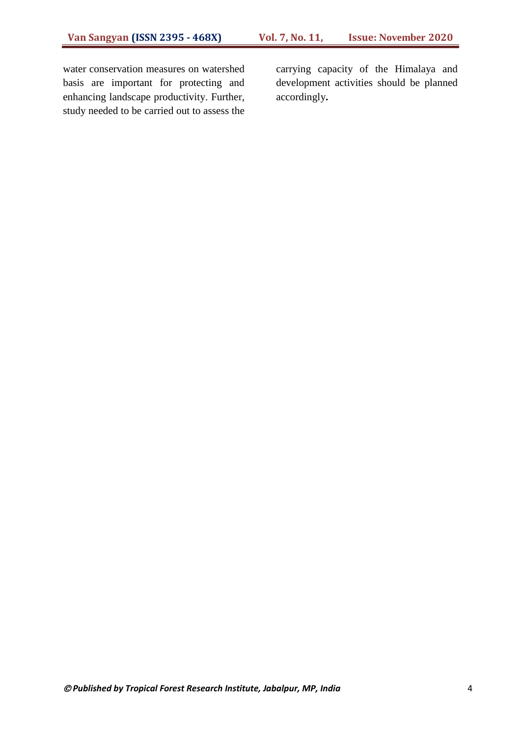water conservation measures on watershed basis are important for protecting and enhancing landscape productivity. Further, study needed to be carried out to assess the carrying capacity of the Himalaya and development activities should be planned accordingly**.**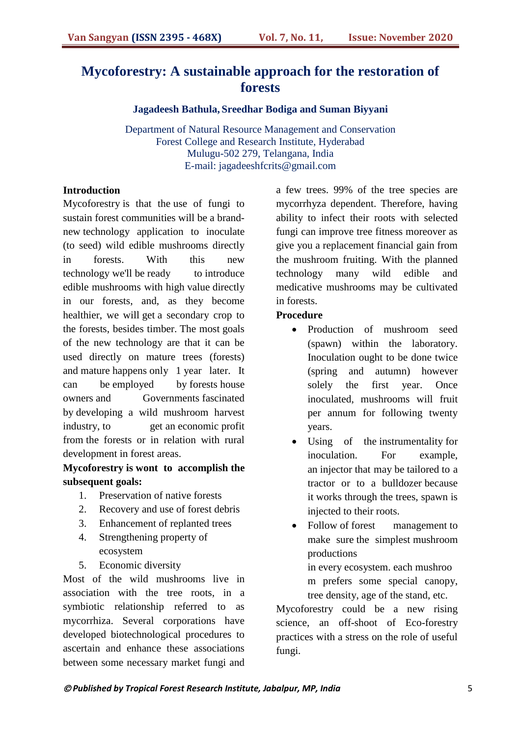# **Mycoforestry: A sustainable approach for the restoration of forests**

**Jagadeesh Bathula, Sreedhar Bodiga and Suman Biyyani**

Department of Natural Resource Management and Conservation Forest College and Research Institute, Hyderabad Mulugu-502 279, Telangana, India E-mail: jagadeeshfcrits@gmail.com

## **Introduction**

Mycoforestry is that the use of fungi to sustain forest communities will be a brandnew technology application to inoculate (to seed) wild edible mushrooms directly in forests. With this new technology we'll be ready to introduce edible mushrooms with high value directly in our forests, and, as they become healthier, we will get a secondary crop to the forests, besides timber. The most goals of the new technology are that it can be used directly on mature trees (forests) and mature happens only 1 year later. It can be employed by forests house owners and Governments fascinated by developing a wild mushroom harvest industry, to get an economic profit from the forests or in relation with rural development in forest areas.

## **Mycoforestry is wont to accomplish the subsequent goals:**

- 1. Preservation of native forests
- 2. Recovery and use of forest debris
- 3. Enhancement of replanted trees
- 4. Strengthening property of ecosystem
- 5. Economic diversity

Most of the wild mushrooms live in association with the tree roots, in a symbiotic relationship referred to as mycorrhiza. Several corporations have developed biotechnological procedures to ascertain and enhance these associations between some necessary market fungi and

a few trees. 99% of the tree species are mycorrhyza dependent. Therefore, having ability to infect their roots with selected fungi can improve tree fitness moreover as give you a replacement financial gain from the mushroom fruiting. With the planned technology many wild edible and medicative mushrooms may be cultivated in forests.

#### **Procedure**

- Production of mushroom seed (spawn) within the laboratory. Inoculation ought to be done twice (spring and autumn) however solely the first year. Once inoculated, mushrooms will fruit per annum for following twenty years.
- Using of the instrumentality for inoculation. For example, an injector that may be tailored to a tractor or to a bulldozer because it works through the trees, spawn is injected to their roots.
- Follow of forest management to make sure the simplest mushroom productions

in every ecosystem. each mushroo m prefers some special canopy, tree density, age of the stand, etc.

Mycoforestry could be a new rising science, an off-shoot of Eco-forestry practices with a stress on the role of useful fungi.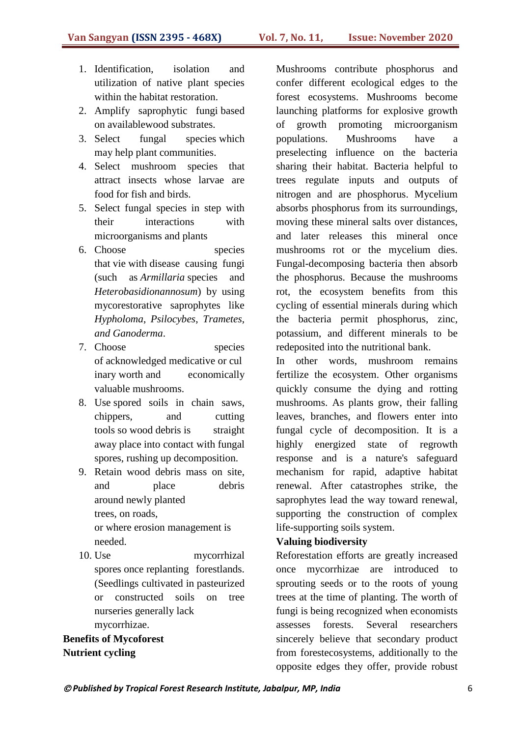- 1. Identification, isolation and utilization of native plant species within the habitat restoration.
- 2. Amplify saprophytic fungi based on availablewood substrates.
- 3. Select fungal species which may help plant communities.
- 4. Select mushroom species that attract insects whose larvae are food for fish and birds.
- 5. Select fungal species in step with their interactions with microorganisms and plants
- 6. Choose species that vie with disease causing fungi (such as *Armillaria* species and *Heterobasidionannosum*) by using mycorestorative saprophytes like *Hypholoma*, *Psilocybes*, *Trametes*, *and Ganoderma*.
- 7. Choose species of acknowledged medicative or cul inary worth and economically valuable mushrooms.
- 8. Use spored soils in chain saws, chippers, and cutting tools so wood debris is straight away place into contact with fungal spores, rushing up decomposition.
- 9. Retain wood debris mass on site, and place debris around newly planted trees, on roads, or where erosion management is needed.
- 10. Use mycorrhizal spores once replanting forestlands. (Seedlings cultivated in pasteurized or constructed soils on tree nurseries generally lack mycorrhizae.

**Benefits of Mycoforest Nutrient cycling**

Mushrooms contribute phosphorus and confer different ecological edges to the forest ecosystems. Mushrooms become launching platforms for explosive growth of growth promoting microorganism populations. Mushrooms have a preselecting influence on the bacteria sharing their habitat. Bacteria helpful to trees regulate inputs and outputs of nitrogen and are phosphorus. Mycelium absorbs phosphorus from its surroundings, moving these mineral salts over distances, and later releases this mineral once mushrooms rot or the mycelium dies. Fungal-decomposing bacteria then absorb the phosphorus. Because the mushrooms rot, the ecosystem benefits from this cycling of essential minerals during which the bacteria permit phosphorus, zinc, potassium, and different minerals to be redeposited into the nutritional bank.

In other words, mushroom remains fertilize the ecosystem. Other organisms quickly consume the dying and rotting mushrooms. As plants grow, their falling leaves, branches, and flowers enter into fungal cycle of decomposition. It is a highly energized state of regrowth response and is a nature's safeguard mechanism for rapid, adaptive habitat renewal. After catastrophes strike, the saprophytes lead the way toward renewal, supporting the construction of complex life-supporting soils system.

## **Valuing biodiversity**

Reforestation efforts are greatly increased once mycorrhizae are introduced to sprouting seeds or to the roots of young trees at the time of planting. The worth of fungi is being recognized when economists assesses forests. Several researchers sincerely believe that secondary product from forestecosystems, additionally to the opposite edges they offer, provide robust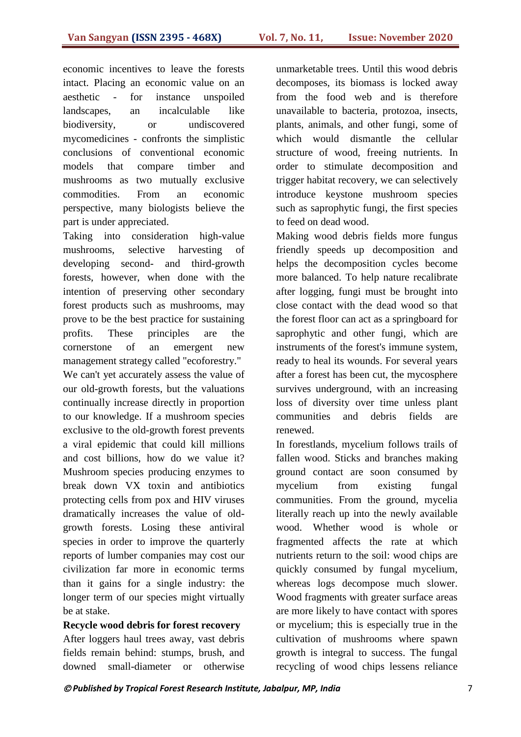economic incentives to leave the forests intact. Placing an economic value on an aesthetic - for instance unspoiled landscapes, an incalculable like biodiversity, or undiscovered mycomedicines - confronts the simplistic conclusions of conventional economic models that compare timber and mushrooms as two mutually exclusive commodities. From an economic perspective, many biologists believe the part is under appreciated.

Taking into consideration high-value mushrooms, selective harvesting of developing second- and third-growth forests, however, when done with the intention of preserving other secondary forest products such as mushrooms, may prove to be the best practice for sustaining profits. These principles are the cornerstone of an emergent new management strategy called "ecoforestry." We can't yet accurately assess the value of our old-growth forests, but the valuations continually increase directly in proportion to our knowledge. If a mushroom species exclusive to the old-growth forest prevents a viral epidemic that could kill millions and cost billions, how do we value it? Mushroom species producing enzymes to break down VX toxin and antibiotics protecting cells from pox and HIV viruses dramatically increases the value of oldgrowth forests. Losing these antiviral species in order to improve the quarterly reports of lumber companies may cost our civilization far more in economic terms than it gains for a single industry: the longer term of our species might virtually be at stake.

**Recycle wood debris for forest recovery** After loggers haul trees away, vast debris fields remain behind: stumps, brush, and downed small-diameter or otherwise unmarketable trees. Until this wood debris decomposes, its biomass is locked away from the food web and is therefore unavailable to bacteria, protozoa, insects, plants, animals, and other fungi, some of which would dismantle the cellular structure of wood, freeing nutrients. In order to stimulate decomposition and trigger habitat recovery, we can selectively introduce keystone mushroom species such as saprophytic fungi, the first species to feed on dead wood.

Making wood debris fields more fungus friendly speeds up decomposition and helps the decomposition cycles become more balanced. To help nature recalibrate after logging, fungi must be brought into close contact with the dead wood so that the forest floor can act as a springboard for saprophytic and other fungi, which are instruments of the forest's immune system, ready to heal its wounds. For several years after a forest has been cut, the mycosphere survives underground, with an increasing loss of diversity over time unless plant communities and debris fields are renewed.

In forestlands, mycelium follows trails of fallen wood. Sticks and branches making ground contact are soon consumed by mycelium from existing fungal communities. From the ground, mycelia literally reach up into the newly available wood. Whether wood is whole or fragmented affects the rate at which nutrients return to the soil: wood chips are quickly consumed by fungal mycelium, whereas logs decompose much slower. Wood fragments with greater surface areas are more likely to have contact with spores or mycelium; this is especially true in the cultivation of mushrooms where spawn growth is integral to success. The fungal recycling of wood chips lessens reliance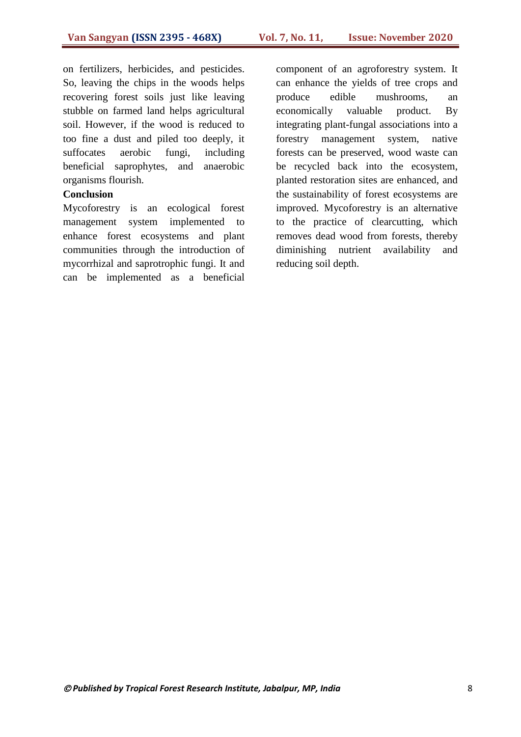on fertilizers, herbicides, and pesticides. So, leaving the chips in the woods helps recovering forest soils just like leaving stubble on farmed land helps agricultural soil. However, if the wood is reduced to too fine a dust and piled too deeply, it suffocates aerobic fungi, including beneficial saprophytes, and anaerobic organisms flourish.

#### **Conclusion**

Mycoforestry is an ecological forest management system implemented to enhance forest ecosystems and plant communities through the introduction of mycorrhizal and saprotrophic fungi. It and can be implemented as a beneficial

component of an agroforestry system. It can enhance the yields of tree crops and produce edible mushrooms, an economically valuable product. By integrating plant-fungal associations into a forestry management system, native forests can be preserved, wood waste can be recycled back into the ecosystem, planted restoration sites are enhanced, and the sustainability of forest ecosystems are improved. Mycoforestry is an alternative to the practice of clearcutting, which removes dead wood from forests, thereby diminishing nutrient availability and reducing soil depth.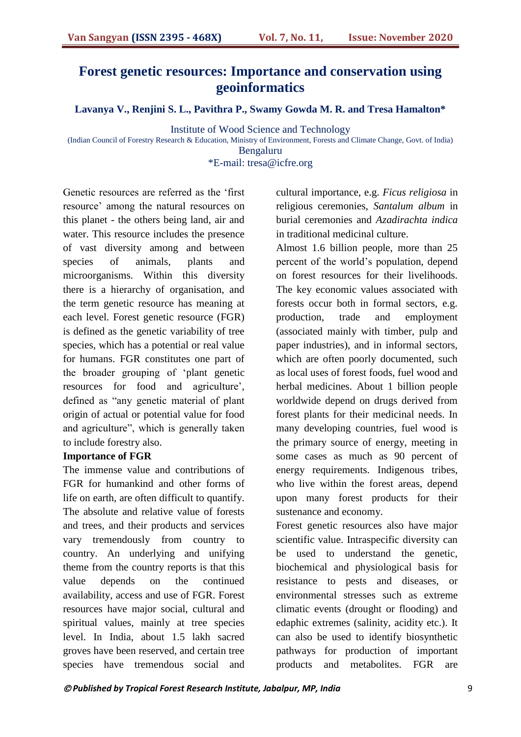# **Forest genetic resources: Importance and conservation using geoinformatics**

**Lavanya V., Renjini S. L., Pavithra P., Swamy Gowda M. R. and Tresa Hamalton\***

Institute of Wood Science and Technology

(Indian Council of Forestry Research & Education, Ministry of Environment, Forests and Climate Change, Govt. of India) Bengaluru

\*E-mail: tresa@icfre.org

Genetic resources are referred as the "first resource' among the natural resources on this planet - the others being land, air and water. This resource includes the presence of vast diversity among and between species of animals, plants and microorganisms. Within this diversity there is a hierarchy of organisation, and the term genetic resource has meaning at each level. Forest genetic resource (FGR) is defined as the genetic variability of tree species, which has a potential or real value for humans. FGR constitutes one part of the broader grouping of "plant genetic resources for food and agriculture', defined as "any genetic material of plant origin of actual or potential value for food and agriculture", which is generally taken to include forestry also.

#### **Importance of FGR**

The immense value and contributions of FGR for humankind and other forms of life on earth, are often difficult to quantify. The absolute and relative value of forests and trees, and their products and services vary tremendously from country to country. An underlying and unifying theme from the country reports is that this value depends on the continued availability, access and use of FGR. Forest resources have major social, cultural and spiritual values, mainly at tree species level. In India, about 1.5 lakh sacred groves have been reserved, and certain tree species have tremendous social and cultural importance, e.g. *Ficus religiosa* in religious ceremonies, *Santalum album* in burial ceremonies and *Azadirachta indica*  in traditional medicinal culture.

Almost 1.6 billion people, more than 25 percent of the world"s population, depend on forest resources for their livelihoods. The key economic values associated with forests occur both in formal sectors, e.g. production, trade and employment (associated mainly with timber, pulp and paper industries), and in informal sectors, which are often poorly documented, such as local uses of forest foods, fuel wood and herbal medicines. About 1 billion people worldwide depend on drugs derived from forest plants for their medicinal needs. In many developing countries, fuel wood is the primary source of energy, meeting in some cases as much as 90 percent of energy requirements. Indigenous tribes, who live within the forest areas, depend upon many forest products for their sustenance and economy.

Forest genetic resources also have major scientific value. Intraspecific diversity can be used to understand the genetic, biochemical and physiological basis for resistance to pests and diseases, or environmental stresses such as extreme climatic events (drought or flooding) and edaphic extremes (salinity, acidity etc.). It can also be used to identify biosynthetic pathways for production of important products and metabolites. FGR are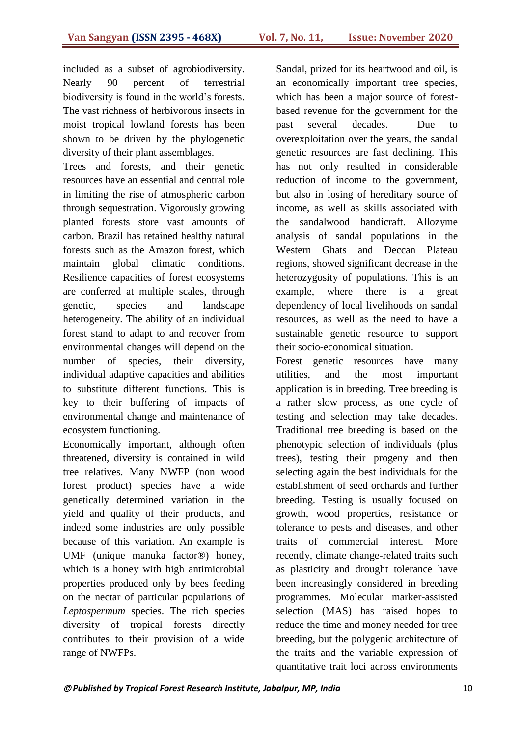included as a subset of agrobiodiversity. Nearly 90 percent of terrestrial biodiversity is found in the world"s forests. The vast richness of herbivorous insects in moist tropical lowland forests has been shown to be driven by the phylogenetic diversity of their plant assemblages.

Trees and forests, and their genetic resources have an essential and central role in limiting the rise of atmospheric carbon through sequestration. Vigorously growing planted forests store vast amounts of carbon. Brazil has retained healthy natural forests such as the Amazon forest, which maintain global climatic conditions. Resilience capacities of forest ecosystems are conferred at multiple scales, through genetic, species and landscape heterogeneity. The ability of an individual forest stand to adapt to and recover from environmental changes will depend on the number of species, their diversity, individual adaptive capacities and abilities to substitute different functions. This is key to their buffering of impacts of environmental change and maintenance of ecosystem functioning.

Economically important, although often threatened, diversity is contained in wild tree relatives. Many NWFP (non wood forest product) species have a wide genetically determined variation in the yield and quality of their products, and indeed some industries are only possible because of this variation. An example is UMF (unique manuka factor®) honey, which is a honey with high antimicrobial properties produced only by bees feeding on the nectar of particular populations of *Leptospermum* species. The rich species diversity of tropical forests directly contributes to their provision of a wide range of NWFPs.

Sandal, prized for its heartwood and oil, is an economically important tree species, which has been a major source of forestbased revenue for the government for the past several decades. Due to overexploitation over the years, the sandal genetic resources are fast declining. This has not only resulted in considerable reduction of income to the government, but also in losing of hereditary source of income, as well as skills associated with the sandalwood handicraft. Allozyme analysis of sandal populations in the Western Ghats and Deccan Plateau regions, showed significant decrease in the heterozygosity of populations. This is an example, where there is a great dependency of local livelihoods on sandal resources, as well as the need to have a sustainable genetic resource to support their socio-economical situation.

Forest genetic resources have many utilities, and the most important application is in breeding. Tree breeding is a rather slow process, as one cycle of testing and selection may take decades. Traditional tree breeding is based on the phenotypic selection of individuals (plus trees), testing their progeny and then selecting again the best individuals for the establishment of seed orchards and further breeding. Testing is usually focused on growth, wood properties, resistance or tolerance to pests and diseases, and other traits of commercial interest. More recently, climate change-related traits such as plasticity and drought tolerance have been increasingly considered in breeding programmes. Molecular marker-assisted selection (MAS) has raised hopes to reduce the time and money needed for tree breeding, but the polygenic architecture of the traits and the variable expression of quantitative trait loci across environments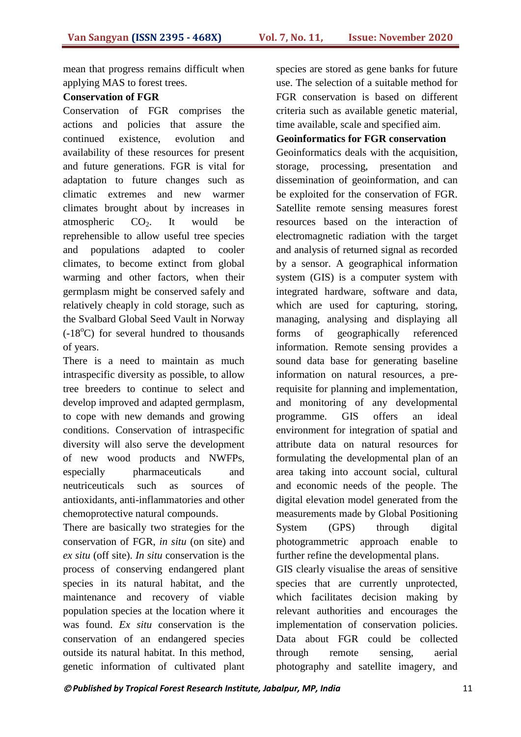mean that progress remains difficult when applying MAS to forest trees.

## **Conservation of FGR**

Conservation of FGR comprises the actions and policies that assure the continued existence, evolution and availability of these resources for present and future generations. FGR is vital for adaptation to future changes such as climatic extremes and new warmer climates brought about by increases in atmospheric  $CO<sub>2</sub>$ . It would be reprehensible to allow useful tree species and populations adapted to cooler climates, to become extinct from global warming and other factors, when their germplasm might be conserved safely and relatively cheaply in cold storage, such as the Svalbard Global Seed Vault in Norway  $(-18<sup>o</sup>C)$  for several hundred to thousands of years.

There is a need to maintain as much intraspecific diversity as possible, to allow tree breeders to continue to select and develop improved and adapted germplasm, to cope with new demands and growing conditions. Conservation of intraspecific diversity will also serve the development of new wood products and NWFPs, especially pharmaceuticals and neutriceuticals such as sources of antioxidants, anti-inflammatories and other chemoprotective natural compounds.

There are basically two strategies for the conservation of FGR, *in situ* (on site) and *ex situ* (off site). *In situ* conservation is the process of conserving endangered plant species in its natural habitat, and the maintenance and recovery of viable population species at the location where it was found. *Ex situ* conservation is the conservation of an endangered species outside its natural habitat. In this method, genetic information of cultivated plant species are stored as gene banks for future use. The selection of a suitable method for FGR conservation is based on different criteria such as available genetic material, time available, scale and specified aim.

#### **Geoinformatics for FGR conservation**

Geoinformatics deals with the acquisition, storage, processing, presentation and dissemination of geoinformation, and can be exploited for the conservation of FGR. Satellite remote sensing measures forest resources based on the interaction of electromagnetic radiation with the target and analysis of returned signal as recorded by a sensor. A geographical information system (GIS) is a computer system with integrated hardware, software and data, which are used for capturing, storing, managing, analysing and displaying all forms of geographically referenced information. Remote sensing provides a sound data base for generating baseline information on natural resources, a prerequisite for planning and implementation, and monitoring of any developmental programme. GIS offers an ideal environment for integration of spatial and attribute data on natural resources for formulating the developmental plan of an area taking into account social, cultural and economic needs of the people. The digital elevation model generated from the measurements made by Global Positioning System (GPS) through digital photogrammetric approach enable to further refine the developmental plans.

GIS clearly visualise the areas of sensitive species that are currently unprotected, which facilitates decision making by relevant authorities and encourages the implementation of conservation policies. Data about FGR could be collected through remote sensing, aerial photography and satellite imagery, and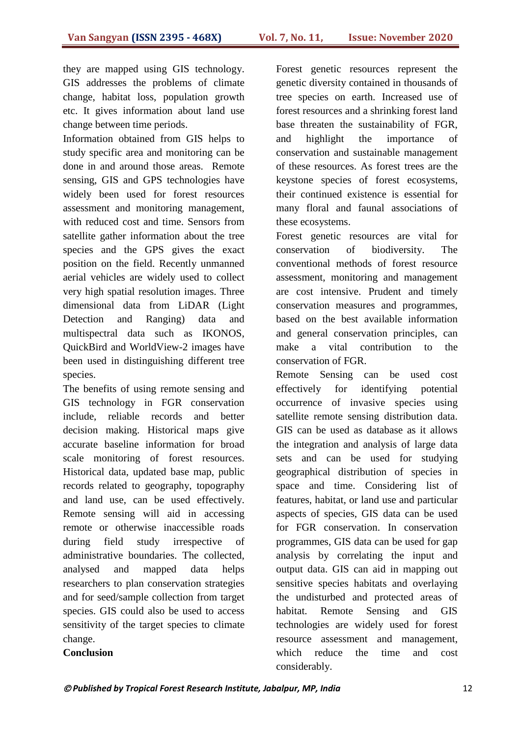they are mapped using GIS technology. GIS addresses the problems of climate change, habitat loss, population growth etc. It gives information about land use change between time periods.

Information obtained from GIS helps to study specific area and monitoring can be done in and around those areas. Remote sensing, GIS and GPS technologies have widely been used for forest resources assessment and monitoring management, with reduced cost and time. Sensors from satellite gather information about the tree species and the GPS gives the exact position on the field. Recently unmanned aerial vehicles are widely used to collect very high spatial resolution images. Three dimensional data from LiDAR (Light Detection and Ranging) data and multispectral data such as IKONOS, QuickBird and WorldView-2 images have been used in distinguishing different tree species.

The benefits of using remote sensing and GIS technology in FGR conservation include, reliable records and better decision making. Historical maps give accurate baseline information for broad scale monitoring of forest resources. Historical data, updated base map, public records related to geography, topography and land use, can be used effectively. Remote sensing will aid in accessing remote or otherwise inaccessible roads during field study irrespective of administrative boundaries. The collected, analysed and mapped data helps researchers to plan conservation strategies and for seed/sample collection from target species. GIS could also be used to access sensitivity of the target species to climate change.

**Conclusion**

## Forest genetic resources represent the genetic diversity contained in thousands of tree species on earth. Increased use of forest resources and a shrinking forest land base threaten the sustainability of FGR, and highlight the importance of conservation and sustainable management of these resources. As forest trees are the keystone species of forest ecosystems, their continued existence is essential for many floral and faunal associations of these ecosystems.

Forest genetic resources are vital for conservation of biodiversity. The conventional methods of forest resource assessment, monitoring and management are cost intensive. Prudent and timely conservation measures and programmes, based on the best available information and general conservation principles, can make a vital contribution to the conservation of FGR.

Remote Sensing can be used cost effectively for identifying potential occurrence of invasive species using satellite remote sensing distribution data. GIS can be used as database as it allows the integration and analysis of large data sets and can be used for studying geographical distribution of species in space and time. Considering list of features, habitat, or land use and particular aspects of species, GIS data can be used for FGR conservation. In conservation programmes, GIS data can be used for gap analysis by correlating the input and output data. GIS can aid in mapping out sensitive species habitats and overlaying the undisturbed and protected areas of habitat. Remote Sensing and GIS technologies are widely used for forest resource assessment and management, which reduce the time and cost considerably.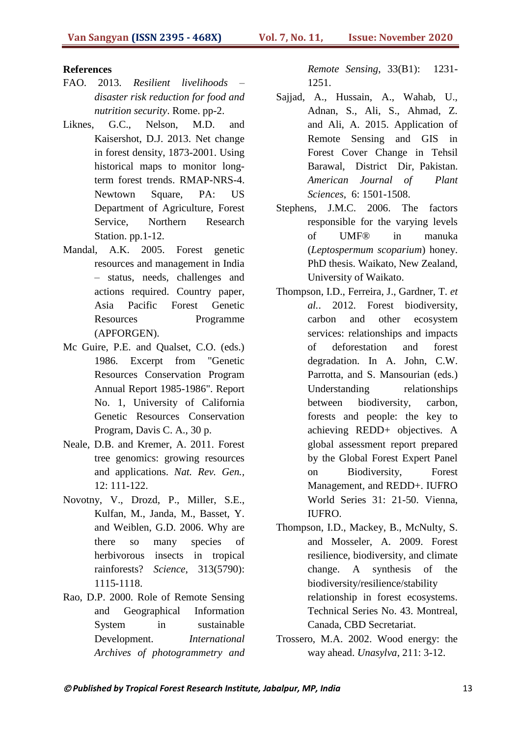#### **References**

- FAO. 2013. *Resilient livelihoods – disaster risk reduction for food and nutrition security*. Rome. pp-2.
- Liknes, G.C., Nelson, M.D. and Kaisershot, D.J. 2013. Net change in forest density, 1873-2001. Using historical maps to monitor longterm forest trends. RMAP-NRS-4. Newtown Square, PA: US Department of Agriculture, Forest Service, Northern Research Station. pp.1-12.
- Mandal, A.K. 2005. Forest genetic resources and management in India – status, needs, challenges and actions required. Country paper, Asia Pacific Forest Genetic Resources Programme (APFORGEN).
- Mc Guire, P.E. and Qualset, C.O. (eds.) 1986. Excerpt from "Genetic Resources Conservation Program Annual Report 1985-1986". Report No. 1, University of California Genetic Resources Conservation Program, Davis C. A., 30 p.
- Neale, D.B. and Kremer, A. 2011. Forest tree genomics: growing resources and applications. *Nat. Rev. Gen.,* 12: 111-122.
- Novotny, V., Drozd, P., Miller, S.E., Kulfan, M., Janda, M., Basset, Y. and Weiblen, G.D. 2006. Why are there so many species of herbivorous insects in tropical rainforests? *Science*, 313(5790): 1115-1118.
- Rao, D.P. 2000. Role of Remote Sensing and Geographical Information System in sustainable Development. *International Archives of photogrammetry and*

*Remote Sensing*, 33(B1): 1231- 1251.

- Sajjad, A., Hussain, A., Wahab, U., Adnan, S., Ali, S., Ahmad, Z. and Ali, A. 2015. Application of Remote Sensing and GIS in Forest Cover Change in Tehsil Barawal, District Dir, Pakistan. *American Journal of Plant Sciences*, 6: 1501-1508.
- Stephens, J.M.C. 2006. The factors responsible for the varying levels of UMF® in manuka (*Leptospermum scoparium*) honey. PhD thesis. Waikato, New Zealand, University of Waikato.
- Thompson, I.D., Ferreira, J., Gardner, T. *et al.*. 2012. Forest biodiversity, carbon and other ecosystem services: relationships and impacts of deforestation and forest degradation. In A. John, C.W. Parrotta, and S. Mansourian (eds.) Understanding relationships between biodiversity, carbon, forests and people: the key to achieving REDD+ objectives. A global assessment report prepared by the Global Forest Expert Panel on Biodiversity, Forest Management, and REDD+. IUFRO World Series 31: 21-50. Vienna, IUFRO.
- Thompson, I.D., Mackey, B., McNulty, S. and Mosseler, A. 2009. Forest resilience, biodiversity, and climate change. A synthesis of the biodiversity/resilience/stability relationship in forest ecosystems. Technical Series No. 43. Montreal, Canada, CBD Secretariat.
- Trossero, M.A. 2002. Wood energy: the way ahead. *Unasylva*, 211: 3-12.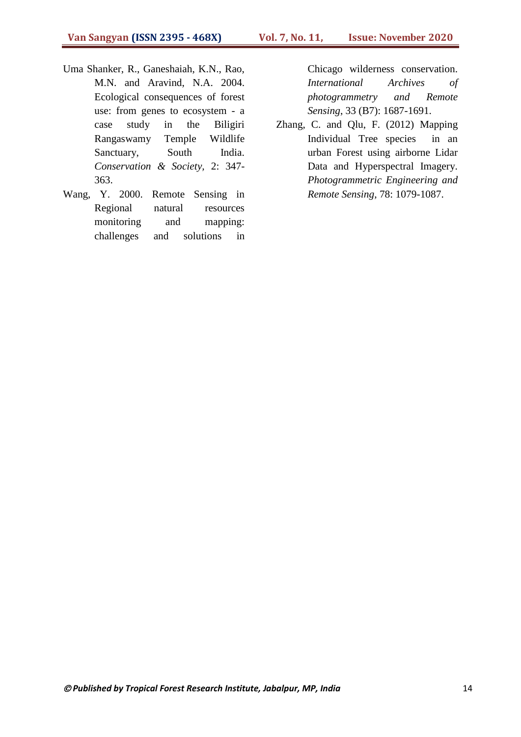- Uma Shanker, R., Ganeshaiah, K.N., Rao, M.N. and Aravind, N.A. 2004. Ecological consequences of forest use: from genes to ecosystem - a case study in the Biligiri Rangaswamy Temple Wildlife Sanctuary, South India. *Conservation & Society,* 2: 347- 363.
- Wang, Y. 2000. Remote Sensing in Regional natural resources monitoring and mapping: challenges and solutions in

Chicago wilderness conservation. *International Archives of photogrammetry and Remote Sensing*, 33 (B7): 1687-1691.

Zhang, C. and Qlu, F. (2012) Mapping Individual Tree species in an urban Forest using airborne Lidar Data and Hyperspectral Imagery. *Photogrammetric Engineering and Remote Sensing*, 78: 1079-1087.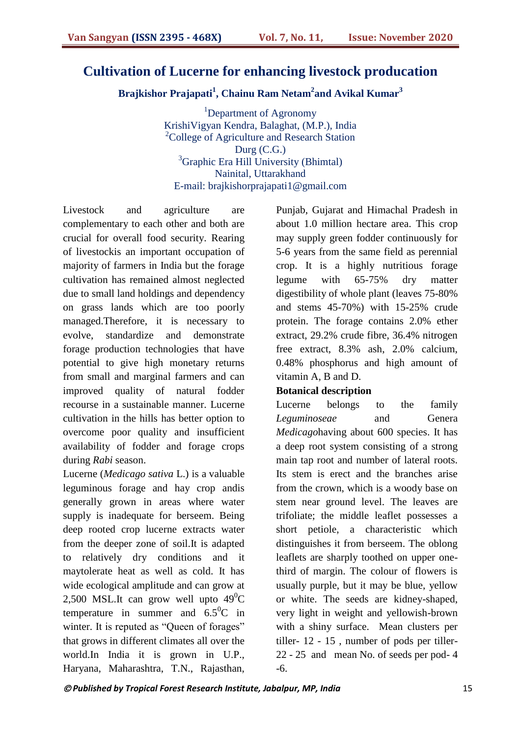## **Cultivation of Lucerne for enhancing livestock producation**

**Brajkishor Prajapati<sup>1</sup> , Chainu Ram Netam<sup>2</sup> and Avikal Kumar<sup>3</sup>**

<sup>1</sup>Department of Agronomy KrishiVigyan Kendra, Balaghat, (M.P.), India <sup>2</sup>College of Agriculture and Research Station Durg (C.G.) <sup>3</sup>Graphic Era Hill University (Bhimtal) Nainital, Uttarakhand E-mail: brajkishorprajapati1@gmail.com

Livestock and agriculture are complementary to each other and both are crucial for overall food security. Rearing of livestockis an important occupation of majority of farmers in India but the forage cultivation has remained almost neglected due to small land holdings and dependency on grass lands which are too poorly managed.Therefore, it is necessary to evolve, standardize and demonstrate forage production technologies that have potential to give high monetary returns from small and marginal farmers and can improved quality of natural fodder recourse in a sustainable manner. Lucerne cultivation in the hills has better option to overcome poor quality and insufficient availability of fodder and forage crops during *Rabi* season.

Lucerne (*Medicago sativa* L.) is a valuable leguminous forage and hay crop andis generally grown in areas where water supply is inadequate for berseem. Being deep rooted crop lucerne extracts water from the deeper zone of soil.It is adapted to relatively dry conditions and it maytolerate heat as well as cold. It has wide ecological amplitude and can grow at 2,500 MSL.It can grow well upto  $49^{\circ}$ C temperature in summer and  $6.5^0C$  in winter. It is reputed as "Queen of forages" that grows in different climates all over the world.In India it is grown in U.P., Haryana, Maharashtra, T.N., Rajasthan,

Punjab, Gujarat and Himachal Pradesh in about 1.0 million hectare area. This crop may supply green fodder continuously for 5-6 years from the same field as perennial crop. It is a highly nutritious forage legume with 65-75% dry matter digestibility of whole plant (leaves 75-80% and stems 45-70%) with 15-25% crude protein. The forage contains 2.0% ether extract, 29.2% crude fibre, 36.4% nitrogen free extract, 8.3% ash, 2.0% calcium, 0.48% phosphorus and high amount of vitamin A, B and D.

### **Botanical description**

Lucerne belongs to the family *Leguminoseae* and Genera *Medicago*having about 600 species. It has a deep root system consisting of a strong main tap root and number of lateral roots. Its stem is erect and the branches arise from the crown, which is a woody base on stem near ground level. The leaves are trifoliate; the middle leaflet possesses a short petiole, a characteristic which distinguishes it from berseem. The oblong leaflets are sharply toothed on upper onethird of margin. The colour of flowers is usually purple, but it may be blue, yellow or white. The seeds are kidney-shaped, very light in weight and yellowish-brown with a shiny surface. Mean clusters per tiller- 12 - 15 , number of pods per tiller-22 - 25 and mean No. of seeds per pod- 4 -6.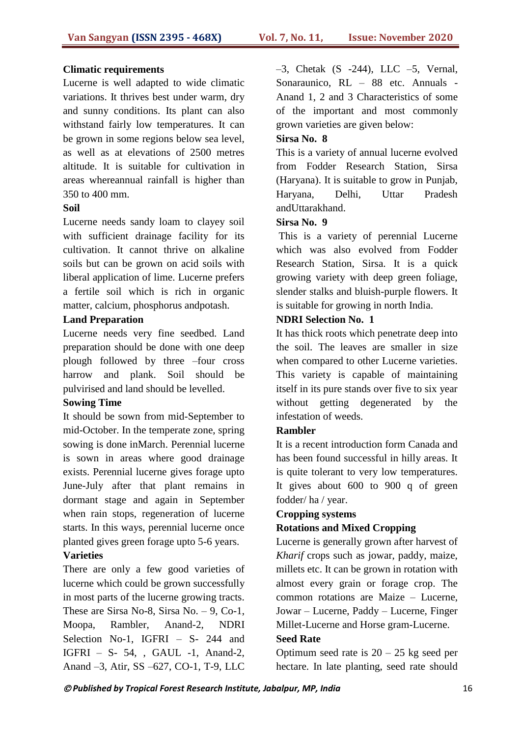#### **Climatic requirements**

Lucerne is well adapted to wide climatic variations. It thrives best under warm, dry and sunny conditions. Its plant can also withstand fairly low temperatures. It can be grown in some regions below sea level, as well as at elevations of 2500 metres altitude. It is suitable for cultivation in areas whereannual rainfall is higher than 350 to 400 mm.

#### **Soil**

Lucerne needs sandy loam to clayey soil with sufficient drainage facility for its cultivation. It cannot thrive on alkaline soils but can be grown on acid soils with liberal application of lime. Lucerne prefers a fertile soil which is rich in organic matter, calcium, phosphorus andpotash.

#### **Land Preparation**

Lucerne needs very fine seedbed. Land preparation should be done with one deep plough followed by three –four cross harrow and plank. Soil should be pulvirised and land should be levelled.

### **Sowing Time**

It should be sown from mid-September to mid-October. In the temperate zone, spring sowing is done inMarch. Perennial lucerne is sown in areas where good drainage exists. Perennial lucerne gives forage upto June-July after that plant remains in dormant stage and again in September when rain stops, regeneration of lucerne starts. In this ways, perennial lucerne once planted gives green forage upto 5-6 years.

### **Varieties**

There are only a few good varieties of lucerne which could be grown successfully in most parts of the lucerne growing tracts. These are Sirsa No-8, Sirsa No. – 9, Co-1, Moopa, Rambler, Anand-2, NDRI Selection No-1, IGFRI – S- 244 and IGFRI – S- 54, , GAUL -1, Anand-2, Anand –3, Atir, SS –627, CO-1, T-9, LLC

 $-3$ , Chetak (S  $-244$ ), LLC  $-5$ , Vernal, Sonaraunico, RL – 88 etc. Annuals - Anand 1, 2 and 3 Characteristics of some of the important and most commonly grown varieties are given below:

### **Sirsa No. 8**

This is a variety of annual lucerne evolved from Fodder Research Station, Sirsa (Haryana). It is suitable to grow in Punjab, Haryana, Delhi, Uttar Pradesh andUttarakhand.

### **Sirsa No. 9**

This is a variety of perennial Lucerne which was also evolved from Fodder Research Station, Sirsa. It is a quick growing variety with deep green foliage, slender stalks and bluish-purple flowers. It is suitable for growing in north India.

### **NDRI Selection No. 1**

It has thick roots which penetrate deep into the soil. The leaves are smaller in size when compared to other Lucerne varieties. This variety is capable of maintaining itself in its pure stands over five to six year without getting degenerated by the infestation of weeds.

### **Rambler**

It is a recent introduction form Canada and has been found successful in hilly areas. It is quite tolerant to very low temperatures. It gives about 600 to 900 q of green fodder/ ha / year.

#### **Cropping systems**

### **Rotations and Mixed Cropping**

Lucerne is generally grown after harvest of *Kharif* crops such as jowar, paddy, maize, millets etc. It can be grown in rotation with almost every grain or forage crop. The common rotations are Maize – Lucerne, Jowar – Lucerne, Paddy – Lucerne, Finger Millet-Lucerne and Horse gram-Lucerne.

#### **Seed Rate**

Optimum seed rate is  $20 - 25$  kg seed per hectare. In late planting, seed rate should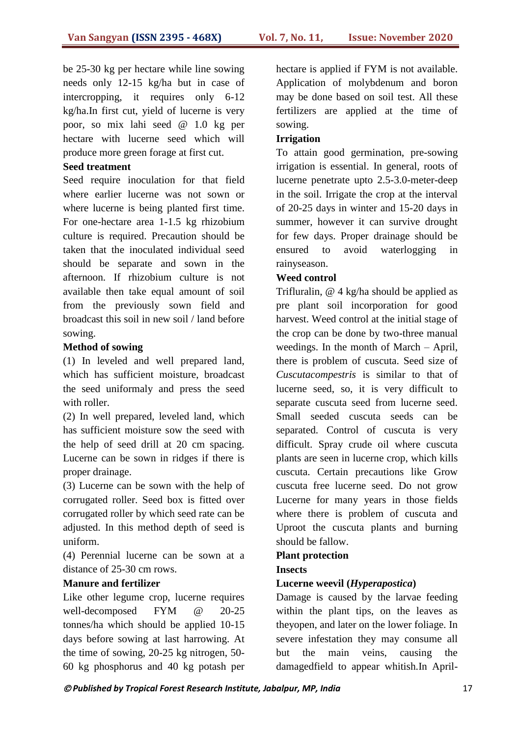be 25-30 kg per hectare while line sowing needs only 12-15 kg/ha but in case of intercropping, it requires only 6-12 kg/ha.In first cut, yield of lucerne is very poor, so mix lahi seed @ 1.0 kg per hectare with lucerne seed which will produce more green forage at first cut.

### **Seed treatment**

Seed require inoculation for that field where earlier lucerne was not sown or where lucerne is being planted first time. For one-hectare area 1-1.5 kg rhizobium culture is required. Precaution should be taken that the inoculated individual seed should be separate and sown in the afternoon. If rhizobium culture is not available then take equal amount of soil from the previously sown field and broadcast this soil in new soil / land before sowing.

## **Method of sowing**

(1) In leveled and well prepared land, which has sufficient moisture, broadcast the seed uniformaly and press the seed with roller.

(2) In well prepared, leveled land, which has sufficient moisture sow the seed with the help of seed drill at 20 cm spacing. Lucerne can be sown in ridges if there is proper drainage.

(3) Lucerne can be sown with the help of corrugated roller. Seed box is fitted over corrugated roller by which seed rate can be adjusted. In this method depth of seed is uniform.

(4) Perennial lucerne can be sown at a distance of 25-30 cm rows.

### **Manure and fertilizer**

Like other legume crop, lucerne requires well-decomposed FYM @ 20-25 tonnes/ha which should be applied 10-15 days before sowing at last harrowing. At the time of sowing, 20-25 kg nitrogen, 50- 60 kg phosphorus and 40 kg potash per hectare is applied if FYM is not available. Application of molybdenum and boron may be done based on soil test. All these fertilizers are applied at the time of sowing.

## **Irrigation**

To attain good germination, pre-sowing irrigation is essential. In general, roots of lucerne penetrate upto 2.5-3.0-meter-deep in the soil. Irrigate the crop at the interval of 20-25 days in winter and 15-20 days in summer, however it can survive drought for few days. Proper drainage should be ensured to avoid waterlogging in rainyseason.

### **Weed control**

Trifluralin, @ 4 kg/ha should be applied as pre plant soil incorporation for good harvest. Weed control at the initial stage of the crop can be done by two-three manual weedings. In the month of March – April, there is problem of cuscuta. Seed size of *Cuscutacompestris* is similar to that of lucerne seed, so, it is very difficult to separate cuscuta seed from lucerne seed. Small seeded cuscuta seeds can be separated. Control of cuscuta is very difficult. Spray crude oil where cuscuta plants are seen in lucerne crop, which kills cuscuta. Certain precautions like Grow cuscuta free lucerne seed. Do not grow Lucerne for many years in those fields where there is problem of cuscuta and Uproot the cuscuta plants and burning should be fallow.

## **Plant protection Insects**

## **Lucerne weevil (***Hyperapostica***)**

Damage is caused by the larvae feeding within the plant tips, on the leaves as theyopen, and later on the lower foliage. In severe infestation they may consume all but the main veins, causing the damagedfield to appear whitish.In April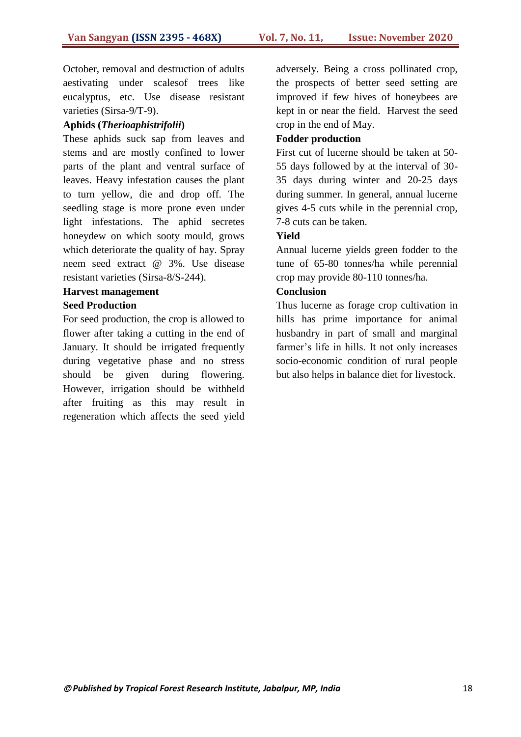October, removal and destruction of adults aestivating under scalesof trees like eucalyptus, etc. Use disease resistant varieties (Sirsa-9/T-9).

### **Aphids (***Therioaphistrifolii***)**

These aphids suck sap from leaves and stems and are mostly confined to lower parts of the plant and ventral surface of leaves. Heavy infestation causes the plant to turn yellow, die and drop off. The seedling stage is more prone even under light infestations. The aphid secretes honeydew on which sooty mould, grows which deteriorate the quality of hay. Spray neem seed extract @ 3%. Use disease resistant varieties (Sirsa-8/S-244).

### **Harvest management Seed Production**

For seed production, the crop is allowed to flower after taking a cutting in the end of January. It should be irrigated frequently during vegetative phase and no stress should be given during flowering. However, irrigation should be withheld after fruiting as this may result in regeneration which affects the seed yield adversely. Being a cross pollinated crop, the prospects of better seed setting are improved if few hives of honeybees are kept in or near the field. Harvest the seed crop in the end of May.

### **Fodder production**

First cut of lucerne should be taken at 50- 55 days followed by at the interval of 30- 35 days during winter and 20-25 days during summer. In general, annual lucerne gives 4-5 cuts while in the perennial crop, 7-8 cuts can be taken.

### **Yield**

Annual lucerne yields green fodder to the tune of 65-80 tonnes/ha while perennial crop may provide 80-110 tonnes/ha.

### **Conclusion**

Thus lucerne as forage crop cultivation in hills has prime importance for animal husbandry in part of small and marginal farmer's life in hills. It not only increases socio-economic condition of rural people but also helps in balance diet for livestock.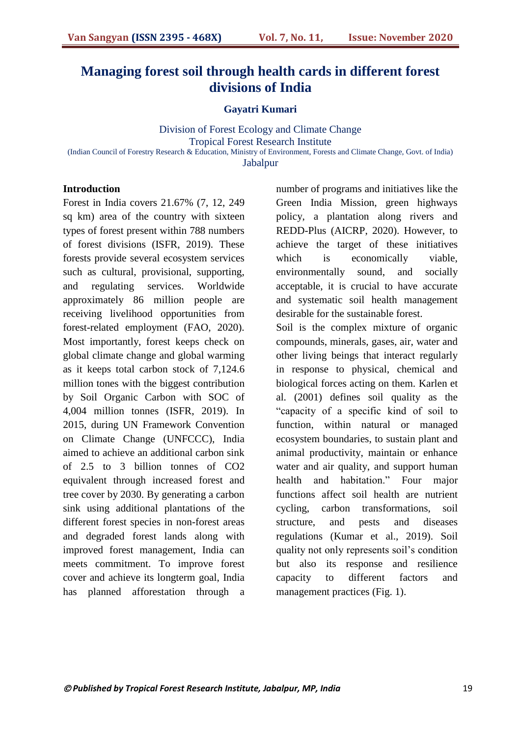## **Managing forest soil through health cards in different forest divisions of India**

#### **Gayatri Kumari**

Division of Forest Ecology and Climate Change Tropical Forest Research Institute (Indian Council of Forestry Research & Education, Ministry of Environment, Forests and Climate Change, Govt. of India) **Jabalpur** 

### **Introduction**

Forest in India covers 21.67% (7, 12, 249 sq km) area of the country with sixteen types of forest present within 788 numbers of forest divisions (ISFR, 2019). These forests provide several ecosystem services such as cultural, provisional, supporting, and regulating services. Worldwide approximately 86 million people are receiving livelihood opportunities from forest-related employment (FAO, 2020). Most importantly, forest keeps check on global climate change and global warming as it keeps total carbon stock of 7,124.6 million tones with the biggest contribution by Soil Organic Carbon with SOC of 4,004 million tonnes (ISFR, 2019). In 2015, during UN Framework Convention on Climate Change (UNFCCC), India aimed to achieve an additional carbon sink of 2.5 to 3 billion tonnes of CO2 equivalent through increased forest and tree cover by 2030. By generating a carbon sink using additional plantations of the different forest species in non-forest areas and degraded forest lands along with improved forest management, India can meets commitment. To improve forest cover and achieve its longterm goal, India has planned afforestation through a

number of programs and initiatives like the Green India Mission, green highways policy, a plantation along rivers and REDD-Plus (AICRP, 2020). However, to achieve the target of these initiatives which is economically viable, environmentally sound, and socially acceptable, it is crucial to have accurate and systematic soil health management desirable for the sustainable forest.

Soil is the complex mixture of organic compounds, minerals, gases, air, water and other living beings that interact regularly in response to physical, chemical and biological forces acting on them. Karlen et al. (2001) defines soil quality as the "capacity of a specific kind of soil to function, within natural or managed ecosystem boundaries, to sustain plant and animal productivity, maintain or enhance water and air quality, and support human health and habitation." Four major functions affect soil health are nutrient cycling, carbon transformations, soil structure, and pests and diseases regulations (Kumar et al., 2019). Soil quality not only represents soil"s condition but also its response and resilience capacity to different factors and management practices (Fig. 1).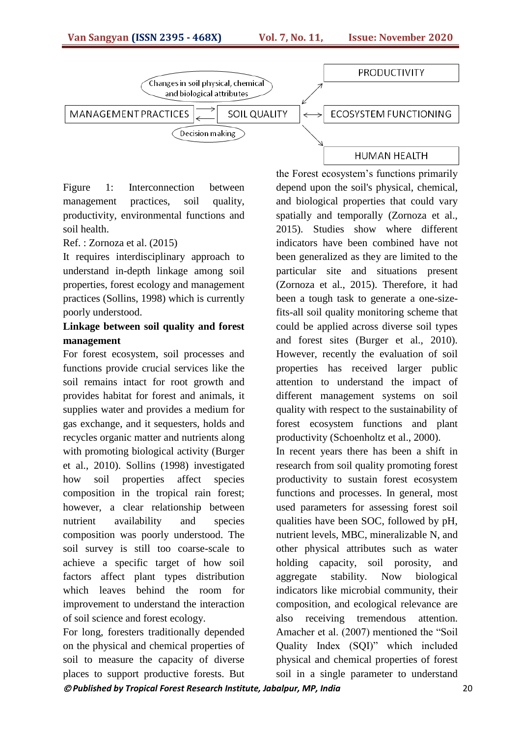

Figure 1: Interconnection between management practices, soil quality, productivity, environmental functions and soil health.

#### Ref. : Zornoza et al. (2015)

It requires interdisciplinary approach to understand in-depth linkage among soil properties, forest ecology and management practices (Sollins, 1998) which is currently poorly understood.

## **Linkage between soil quality and forest management**

For forest ecosystem, soil processes and functions provide crucial services like the soil remains intact for root growth and provides habitat for forest and animals, it supplies water and provides a medium for gas exchange, and it sequesters, holds and recycles organic matter and nutrients along with promoting biological activity (Burger et al., 2010). Sollins (1998) investigated how soil properties affect species composition in the tropical rain forest; however, a clear relationship between nutrient availability and species composition was poorly understood. The soil survey is still too coarse-scale to achieve a specific target of how soil factors affect plant types distribution which leaves behind the room for improvement to understand the interaction of soil science and forest ecology.

For long, foresters traditionally depended on the physical and chemical properties of soil to measure the capacity of diverse places to support productive forests. But

the Forest ecosystem"s functions primarily depend upon the soil's physical, chemical, and biological properties that could vary spatially and temporally (Zornoza et al., 2015). Studies show where different indicators have been combined have not been generalized as they are limited to the particular site and situations present (Zornoza et al., 2015). Therefore, it had been a tough task to generate a one-sizefits-all soil quality monitoring scheme that could be applied across diverse soil types and forest sites (Burger et al., 2010). However, recently the evaluation of soil properties has received larger public attention to understand the impact of different management systems on soil quality with respect to the sustainability of forest ecosystem functions and plant productivity (Schoenholtz et al., 2000).

In recent years there has been a shift in research from soil quality promoting forest productivity to sustain forest ecosystem functions and processes. In general, most used parameters for assessing forest soil qualities have been SOC, followed by pH, nutrient levels, MBC, mineralizable N, and other physical attributes such as water holding capacity, soil porosity, and aggregate stability. Now biological indicators like microbial community, their composition, and ecological relevance are also receiving tremendous attention. Amacher et al. (2007) mentioned the "Soil Quality Index (SQI)" which included physical and chemical properties of forest soil in a single parameter to understand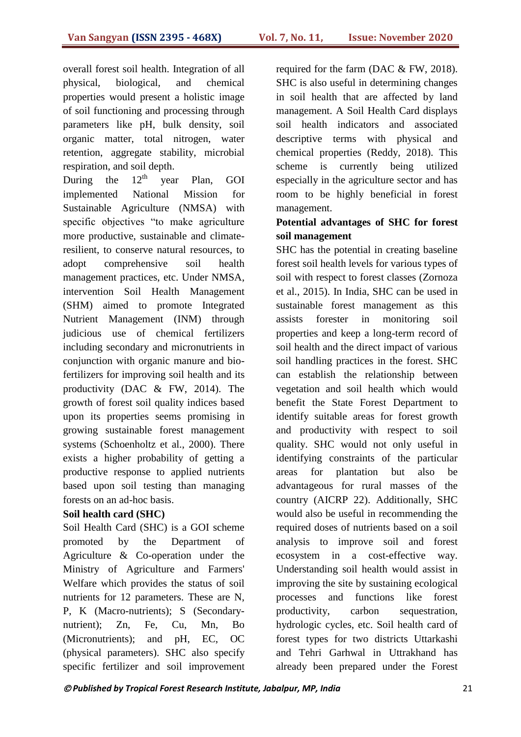overall forest soil health. Integration of all physical, biological, and chemical properties would present a holistic image of soil functioning and processing through parameters like pH, bulk density, soil organic matter, total nitrogen, water retention, aggregate stability, microbial respiration, and soil depth.<br>During the  $12<sup>th</sup>$  vea

During the  $12<sup>th</sup>$  year Plan, GOI implemented National Mission for Sustainable Agriculture (NMSA) with specific objectives "to make agriculture more productive, sustainable and climateresilient, to conserve natural resources, to adopt comprehensive soil health management practices, etc. Under NMSA, intervention Soil Health Management (SHM) aimed to promote Integrated Nutrient Management (INM) through judicious use of chemical fertilizers including secondary and micronutrients in conjunction with organic manure and biofertilizers for improving soil health and its productivity (DAC & FW, 2014). The growth of forest soil quality indices based upon its properties seems promising in growing sustainable forest management systems (Schoenholtz et al., 2000). There exists a higher probability of getting a productive response to applied nutrients based upon soil testing than managing forests on an ad-hoc basis.

### **Soil health card (SHC)**

Soil Health Card (SHC) is a GOI scheme promoted by the Department of Agriculture & Co-operation under the Ministry of Agriculture and Farmers' Welfare which provides the status of soil nutrients for 12 parameters. These are N, P, K (Macro-nutrients); S (Secondarynutrient); Zn, Fe, Cu, Mn, Bo (Micronutrients); and pH, EC, OC (physical parameters). SHC also specify specific fertilizer and soil improvement required for the farm (DAC & FW, 2018). SHC is also useful in determining changes in soil health that are affected by land management. A Soil Health Card displays soil health indicators and associated descriptive terms with physical and chemical properties (Reddy, 2018). This scheme is currently being utilized especially in the agriculture sector and has room to be highly beneficial in forest management.

## **Potential advantages of SHC for forest soil management**

SHC has the potential in creating baseline forest soil health levels for various types of soil with respect to forest classes (Zornoza et al., 2015). In India, SHC can be used in sustainable forest management as this assists forester in monitoring soil properties and keep a long-term record of soil health and the direct impact of various soil handling practices in the forest. SHC can establish the relationship between vegetation and soil health which would benefit the State Forest Department to identify suitable areas for forest growth and productivity with respect to soil quality. SHC would not only useful in identifying constraints of the particular areas for plantation but also be advantageous for rural masses of the country (AICRP 22). Additionally, SHC would also be useful in recommending the required doses of nutrients based on a soil analysis to improve soil and forest ecosystem in a cost-effective way. Understanding soil health would assist in improving the site by sustaining ecological processes and functions like forest productivity, carbon sequestration, hydrologic cycles, etc. Soil health card of forest types for two districts Uttarkashi and Tehri Garhwal in Uttrakhand has already been prepared under the Forest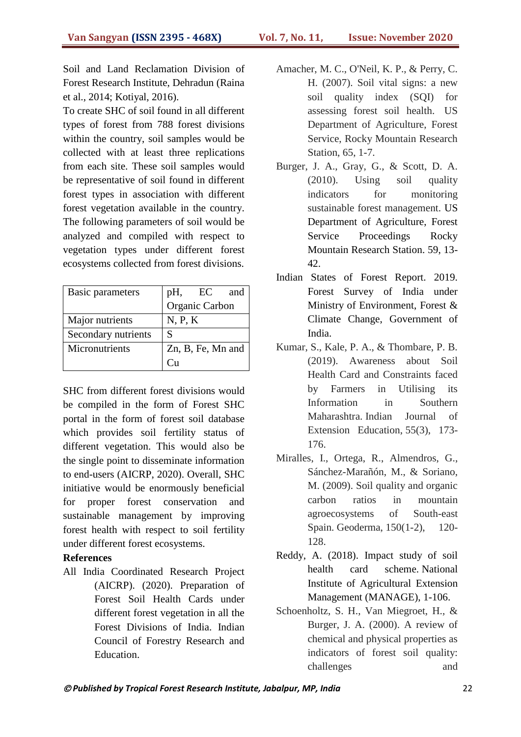Soil and Land Reclamation Division of Forest Research Institute, Dehradun (Raina et al., 2014; Kotiyal, 2016).

To create SHC of soil found in all different types of forest from 788 forest divisions within the country, soil samples would be collected with at least three replications from each site. These soil samples would be representative of soil found in different forest types in association with different forest vegetation available in the country. The following parameters of soil would be analyzed and compiled with respect to vegetation types under different forest ecosystems collected from forest divisions.

| <b>Basic parameters</b> | pH,<br>EC<br>and  |
|-------------------------|-------------------|
|                         | Organic Carbon    |
| Major nutrients         | N, P, K           |
| Secondary nutrients     | S                 |
| Micronutrients          | Zn, B, Fe, Mn and |
|                         |                   |

SHC from different forest divisions would be compiled in the form of Forest SHC portal in the form of forest soil database which provides soil fertility status of different vegetation. This would also be the single point to disseminate information to end-users (AICRP, 2020). Overall, SHC initiative would be enormously beneficial for proper forest conservation and sustainable management by improving forest health with respect to soil fertility under different forest ecosystems.

### **References**

All India Coordinated Research Project (AICRP). (2020). Preparation of Forest Soil Health Cards under different forest vegetation in all the Forest Divisions of India. Indian Council of Forestry Research and Education.

- Amacher, M. C., O'Neil, K. P., & Perry, C. H. (2007). Soil vital signs: a new soil quality index (SQI) for assessing forest soil health. US Department of Agriculture, Forest Service, Rocky Mountain Research Station, 65, 1-7.
- Burger, J. A., Gray, G., & Scott, D. A. (2010). Using soil quality indicators for monitoring sustainable forest management. US Department of Agriculture, Forest Service Proceedings Rocky Mountain Research Station. 59, 13- 42.
- Indian States of Forest Report. 2019. Forest Survey of India under Ministry of Environment, Forest & Climate Change, Government of India.
- Kumar, S., Kale, P. A., & Thombare, P. B. (2019). Awareness about Soil Health Card and Constraints faced by Farmers in Utilising its Information in Southern Maharashtra. Indian Journal of Extension Education, 55(3), 173- 176.
- Miralles, I., Ortega, R., Almendros, G., Sánchez-Marañón, M., & Soriano, M. (2009). Soil quality and organic carbon ratios in mountain agroecosystems of South-east Spain. Geoderma, 150(1-2), 120- 128.
- Reddy, A. (2018). Impact study of soil health card scheme. National Institute of Agricultural Extension Management (MANAGE), 1-106.
- Schoenholtz, S. H., Van Miegroet, H., & Burger, J. A. (2000). A review of chemical and physical properties as indicators of forest soil quality: challenges and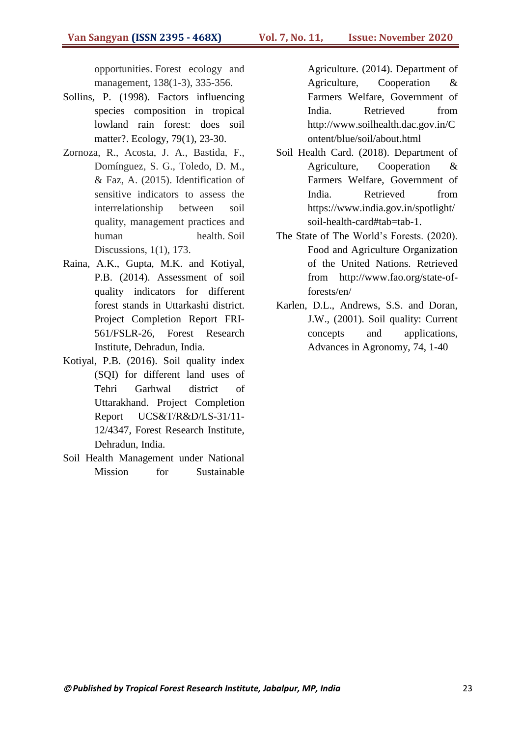opportunities. Forest ecology and management, 138(1-3), 335-356.

- Sollins, P. (1998). Factors influencing species composition in tropical lowland rain forest: does soil matter?. Ecology, 79(1), 23-30.
- Zornoza, R., Acosta, J. A., Bastida, F., Domínguez, S. G., Toledo, D. M., & Faz, A. (2015). Identification of sensitive indicators to assess the interrelationship between soil quality, management practices and human health. Soil Discussions, 1(1), 173.
- Raina, A.K., Gupta, M.K. and Kotiyal, P.B. (2014). Assessment of soil quality indicators for different forest stands in Uttarkashi district. Project Completion Report FRI-561/FSLR-26, Forest Research Institute, Dehradun, India.
- Kotiyal, P.B. (2016). Soil quality index (SQI) for different land uses of Tehri Garhwal district of Uttarakhand. Project Completion Report UCS&T/R&D/LS-31/11- 12/4347, Forest Research Institute, Dehradun, India.
- Soil Health Management under National Mission for Sustainable

Agriculture. (2014). Department of Agriculture, Cooperation & Farmers Welfare, Government of India. Retrieved from http://www.soilhealth.dac.gov.in/C ontent/blue/soil/about.html

- Soil Health Card. (2018). Department of Agriculture, Cooperation & Farmers Welfare, Government of India. Retrieved from https://www.india.gov.in/spotlight/ soil-health-card#tab=tab-1.
- The State of The World"s Forests. (2020). Food and Agriculture Organization of the United Nations. Retrieved from http://www.fao.org/state-offorests/en/
- Karlen, D.L., Andrews, S.S. and Doran, J.W., (2001). Soil quality: Current concepts and applications, Advances in Agronomy, 74, 1-40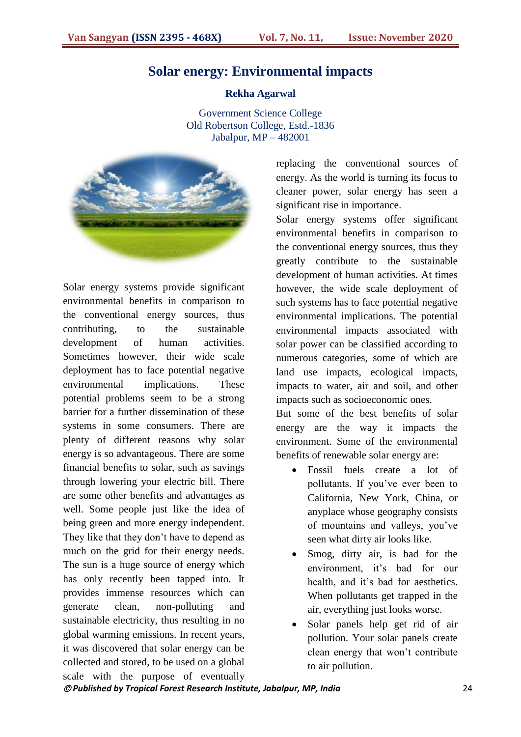## **Solar energy: Environmental impacts**

#### **Rekha Agarwal**

Government Science College Old Robertson College, Estd.-1836 Jabalpur, MP – 482001



Solar energy systems provide significant environmental benefits in comparison to the conventional energy sources, thus contributing, to the sustainable development of human activities. Sometimes however, their wide scale deployment has to face potential negative environmental implications. These potential problems seem to be a strong barrier for a further dissemination of these systems in some consumers. There are plenty of different reasons why solar energy is so advantageous. There are some financial benefits to solar, such as savings through lowering your electric bill. There are some other benefits and advantages as well. Some people just like the idea of being green and more energy independent. They like that they don"t have to depend as much on the grid for their energy needs. The sun is a huge source of energy which has only recently been tapped into. It provides immense resources which can generate clean, non-polluting and sustainable electricity, thus resulting in no global warming emissions. In recent years, it was discovered that solar energy can be collected and stored, to be used on a global scale with the purpose of eventually

replacing the conventional sources of energy. As the world is turning its focus to cleaner power, solar energy has seen a significant rise in importance.

Solar energy systems offer significant environmental benefits in comparison to the conventional energy sources, thus they greatly contribute to the sustainable development of human activities. At times however, the wide scale deployment of such systems has to face potential negative environmental implications. The potential environmental impacts associated with solar power can be classified according to numerous categories, some of which are land use impacts, ecological impacts, impacts to water, air and soil, and other impacts such as socioeconomic ones.

But some of the best benefits of solar energy are the way it impacts the environment. Some of the environmental benefits of renewable solar energy are:

- Fossil fuels create a lot of pollutants. If you"ve ever been to California, New York, China, or anyplace whose geography consists of mountains and valleys, you"ve seen what dirty air looks like.
- Smog, dirty air, is bad for the environment, it's bad for our health, and it's bad for aesthetics. When pollutants get trapped in the air, everything just looks worse.
- Solar panels help get rid of air pollution. Your solar panels create clean energy that won"t contribute to air pollution.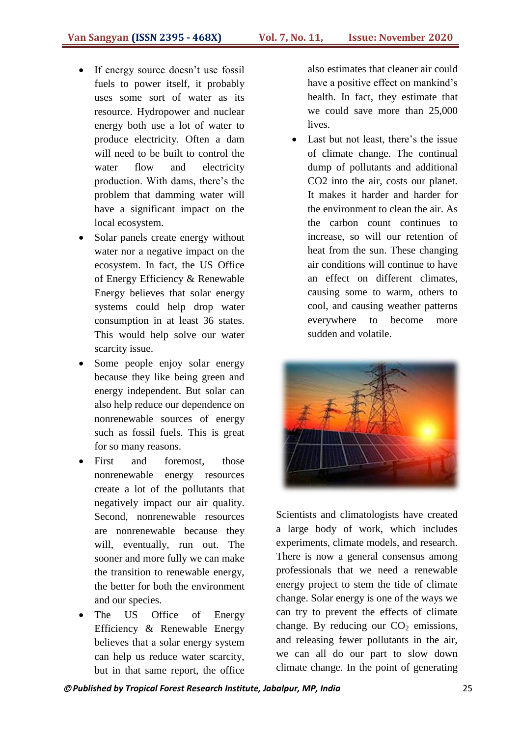- If energy source doesn"t use fossil fuels to power itself, it probably uses some sort of water as its resource. Hydropower and nuclear energy both use a lot of water to produce electricity. Often a dam will need to be built to control the water flow and electricity production. With dams, there"s the problem that damming water will have a significant impact on the local ecosystem.
- Solar panels create energy without water nor a negative impact on the ecosystem. In fact, the US Office of Energy Efficiency & Renewable Energy believes that solar energy systems could help drop water consumption in at least 36 states. This would help solve our water scarcity issue.
- Some people enjoy solar energy because they like being green and energy independent. But solar can also help reduce our dependence on nonrenewable sources of energy such as fossil fuels. This is great for so many reasons.
- First and foremost, those nonrenewable energy resources create a lot of the pollutants that negatively impact our air quality. Second, nonrenewable resources are nonrenewable because they will, eventually, run out. The sooner and more fully we can make the transition to renewable energy, the better for both the environment and our species.
- The US Office of Energy Efficiency & Renewable Energy believes that a solar energy system can help us reduce water scarcity, but in that same report, the office

also estimates that cleaner air could have a positive effect on mankind's health. In fact, they estimate that we could save more than 25,000 lives.

• Last but not least, there's the issue of climate change. The continual dump of pollutants and additional CO2 into the air, costs our planet. It makes it harder and harder for the environment to clean the air. As the carbon count continues to increase, so will our retention of heat from the sun. These changing air conditions will continue to have an effect on different climates, causing some to warm, others to cool, and causing weather patterns everywhere to become more sudden and volatile.



Scientists and climatologists have created a large body of work, which includes experiments, climate models, and research. There is now a general consensus among professionals that we need a renewable energy project to stem the tide of climate change. Solar energy is one of the ways we can try to prevent the effects of climate change. By reducing our  $CO<sub>2</sub>$  emissions, and releasing fewer pollutants in the air, we can all do our part to slow down climate change. In the point of generating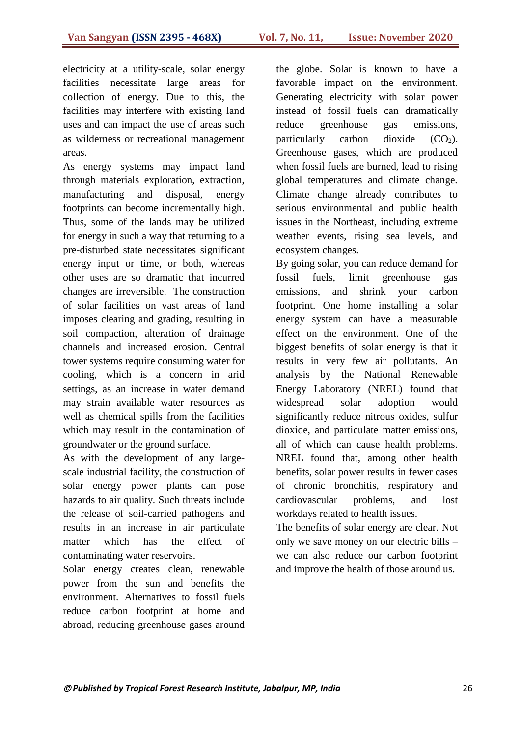electricity at a utility-scale, solar energy facilities necessitate large areas for collection of energy. Due to this, the facilities may interfere with existing land uses and can impact the use of areas such as wilderness or recreational management areas.

As energy systems may impact land through materials exploration, extraction, manufacturing and disposal, energy footprints can become incrementally high. Thus, some of the lands may be utilized for energy in such a way that returning to a pre-disturbed state necessitates significant energy input or time, or both, whereas other uses are so dramatic that incurred changes are irreversible. The construction of solar facilities on vast areas of land imposes clearing and grading, resulting in soil compaction, alteration of drainage channels and increased erosion. Central tower systems require consuming water for cooling, which is a concern in arid settings, as an increase in water demand may strain available water resources as well as chemical spills from the facilities which may result in the contamination of groundwater or the ground surface.

As with the development of any largescale industrial facility, the construction of solar energy power plants can pose hazards to air quality. Such threats include the release of soil-carried pathogens and results in an increase in air particulate matter which has the effect of contaminating water reservoirs.

Solar energy creates clean, renewable power from the sun and benefits the environment. Alternatives to fossil fuels reduce carbon footprint at home and abroad, reducing greenhouse gases around

the globe. Solar is known to have a favorable impact on the environment. Generating electricity with solar power instead of fossil fuels can dramatically reduce greenhouse gas emissions, particularly carbon dioxide  $(CO_2)$ . Greenhouse gases, which are produced when fossil fuels are burned, lead to rising global temperatures and climate change. Climate change already contributes to serious environmental and public health issues in the Northeast, including extreme weather events, rising sea levels, and ecosystem changes.

By going solar, you can reduce demand for fossil fuels, limit greenhouse gas emissions, and shrink your carbon footprint. One home installing a solar energy system can have a measurable effect on the environment. One of the biggest benefits of solar energy is that it results in very few air pollutants. An analysis by the National Renewable Energy Laboratory (NREL) found that widespread solar adoption would significantly reduce nitrous oxides, sulfur dioxide, and particulate matter emissions, all of which can cause health problems. NREL found that, among other health benefits, solar power results in fewer cases of chronic bronchitis, respiratory and cardiovascular problems, and lost workdays related to health issues.

The benefits of solar energy are clear. Not only we save money on our electric bills – we can also reduce our carbon footprint and improve the health of those around us.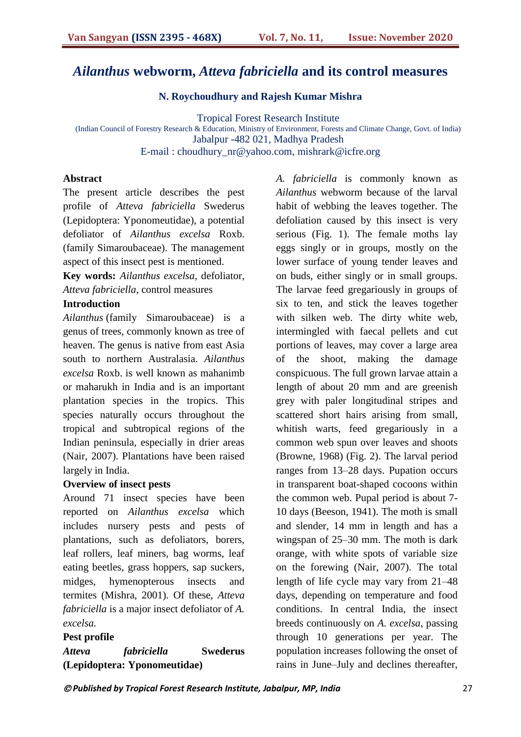## *Ailanthus* **webworm,** *Atteva fabriciella* **and its control measures**

**N. Roychoudhury and Rajesh Kumar Mishra** 

Tropical Forest Research Institute (Indian Council of Forestry Research & Education, Ministry of Environment, Forests and Climate Change, Govt. of India) Jabalpur -482 021*,* Madhya Pradesh E-mail : choudhury\_nr@yahoo.com, mishrark@icfre.org

#### **Abstract**

The present article describes the pest profile of *Atteva fabriciella* Swederus (Lepidoptera: Yponomeutidae), a potential defoliator of *Ailanthus excelsa* Roxb. (family Simaroubaceae). The management aspect of this insect pest is mentioned.

**Key words:** *Ailanthus excelsa,* defoliator, *Atteva fabriciella*, control measures

## **Introduction**

*Ailanthus* (family Simaroubaceae) is a genus of trees, commonly known as tree of heaven. The genus is native from east Asia south to northern Australasia. *Ailanthus excelsa* Roxb. is well known as mahanimb or maharukh in India and is an important plantation species in the tropics. This species naturally occurs throughout the tropical and subtropical regions of the Indian peninsula, especially in drier areas (Nair, 2007). Plantations have been raised largely in India.

#### **Overview of insect pests**

Around 71 insect species have been reported on *Ailanthus excelsa* which includes nursery pests and pests of plantations, such as defoliators, borers, leaf rollers, leaf miners, bag worms, leaf eating beetles, grass hoppers, sap suckers, midges, hymenopterous insects and termites (Mishra, 2001). Of these, *Atteva fabriciella* is a major insect defoliator of *A. excelsa.*

#### **Pest profile**

*Atteva fabriciella* **Swederus (Lepidoptera: Yponomeutidae)** 

*A. fabriciella* is commonly known as *Ailanthus* webworm because of the larval habit of webbing the leaves together. The defoliation caused by this insect is very serious (Fig. 1). The female moths lay eggs singly or in groups, mostly on the lower surface of young tender leaves and on buds, either singly or in small groups. The larvae feed gregariously in groups of six to ten, and stick the leaves together with silken web. The dirty white web, intermingled with faecal pellets and cut portions of leaves, may cover a large area of the shoot, making the damage conspicuous. The full grown larvae attain a length of about 20 mm and are greenish grey with paler longitudinal stripes and scattered short hairs arising from small, whitish warts, feed gregariously in a common web spun over leaves and shoots (Browne, 1968) (Fig. 2). The larval period ranges from 13–28 days. Pupation occurs in transparent boat-shaped cocoons within the common web. Pupal period is about 7- 10 days (Beeson, 1941). The moth is small and slender, 14 mm in length and has a wingspan of 25–30 mm. The moth is dark orange, with white spots of variable size on the forewing (Nair, 2007). The total length of life cycle may vary from 21–48 days, depending on temperature and food conditions. In central India, the insect breeds continuously on *A. excelsa*, passing through 10 generations per year. The population increases following the onset of rains in June–July and declines thereafter,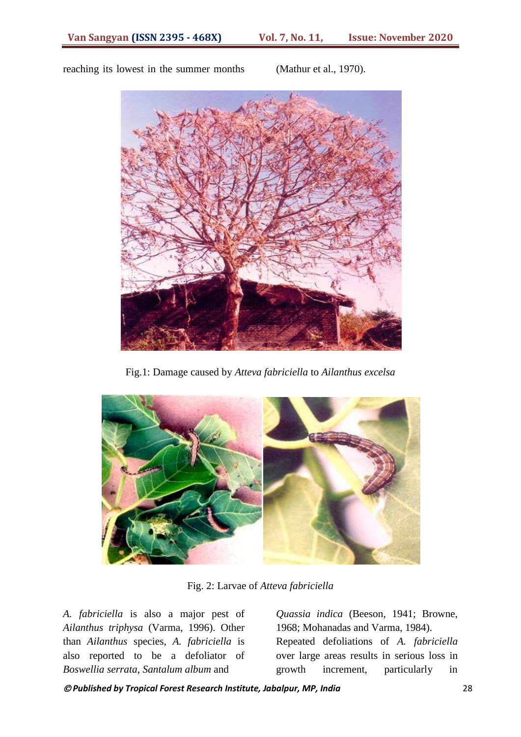

reaching its lowest in the summer months (Mathur et al., 1970).

Fig.1: Damage caused by *Atteva fabriciella* to *Ailanthus excelsa*



Fig. 2: Larvae of *Atteva fabriciella*

*A. fabriciella* is also a major pest of *Ailanthus triphysa* (Varma, 1996). Other than *Ailanthus* species, *A. fabriciella* is also reported to be a defoliator of *Boswellia serrata*, *Santalum album* and

*Quassia indica* (Beeson, 1941; Browne, 1968; Mohanadas and Varma, 1984). Repeated defoliations of *A. fabriciella* over large areas results in serious loss in growth increment, particularly in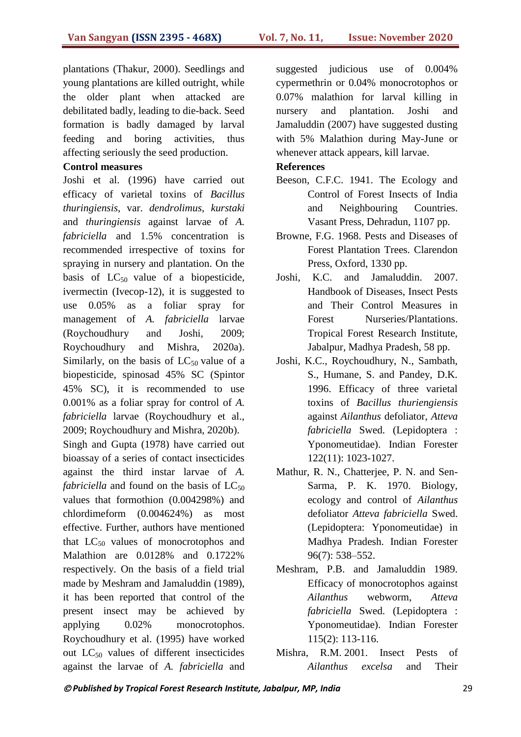plantations (Thakur, 2000). Seedlings and young plantations are killed outright, while the older plant when attacked are debilitated badly, leading to die-back. Seed formation is badly damaged by larval feeding and boring activities, thus affecting seriously the seed production.

### **Control measures**

Joshi et al. (1996) have carried out efficacy of varietal toxins of *Bacillus thuringiensis*, var. *dendrolimus*, *kurstaki* and *thuringiensis* against larvae of *A. fabriciella* and 1.5% concentration is recommended irrespective of toxins for spraying in nursery and plantation. On the basis of  $LC_{50}$  value of a biopesticide, ivermectin (Ivecop-12), it is suggested to use 0.05% as a foliar spray for management of *A. fabriciella* larvae (Roychoudhury and Joshi, 2009; Roychoudhury and Mishra, 2020a). Similarly, on the basis of  $LC_{50}$  value of a biopesticide, spinosad 45% SC (Spintor 45% SC), it is recommended to use 0.001% as a foliar spray for control of *A. fabriciella* larvae (Roychoudhury et al., 2009; Roychoudhury and Mishra, 2020b). Singh and Gupta (1978) have carried out bioassay of a series of contact insecticides against the third instar larvae of *A.* 

*fabriciella* and found on the basis of  $LC_{50}$ values that formothion (0.004298%) and chlordimeform (0.004624%) as most effective. Further, authors have mentioned that  $LC_{50}$  values of monocrotophos and Malathion are 0.0128% and 0.1722% respectively. On the basis of a field trial made by Meshram and Jamaluddin (1989), it has been reported that control of the present insect may be achieved by applying 0.02% monocrotophos. Roychoudhury et al. (1995) have worked out  $LC_{50}$  values of different insecticides against the larvae of *A. fabriciella* and suggested judicious use of 0.004% cypermethrin or 0.04% monocrotophos or 0.07% malathion for larval killing in nursery and plantation. Joshi and Jamaluddin (2007) have suggested dusting with 5% Malathion during May-June or whenever attack appears, kill larvae.

### **References**

- Beeson, C.F.C. 1941. The Ecology and Control of Forest Insects of India and Neighbouring Countries. Vasant Press, Dehradun, 1107 pp.
- Browne, F.G. 1968. Pests and Diseases of Forest Plantation Trees. Clarendon Press, Oxford, 1330 pp.
- Joshi, K.C. and Jamaluddin. 2007. Handbook of Diseases, Insect Pests and Their Control Measures in Forest Nurseries/Plantations. Tropical Forest Research Institute, Jabalpur, Madhya Pradesh, 58 pp.
- Joshi, K.C., Roychoudhury, N., Sambath, S., Humane, S. and Pandey, D.K. 1996. Efficacy of three varietal toxins of *Bacillus thuriengiensis* against *Ailanthus* defoliator, *Atteva fabriciella* Swed. (Lepidoptera : Yponomeutidae). Indian Forester 122(11): 1023-1027.
- Mathur, R. N., Chatterjee, P. N. and Sen-Sarma, P. K. 1970. Biology, ecology and control of *Ailanthus* defoliator *Atteva fabriciella* Swed. (Lepidoptera: Yponomeutidae) in Madhya Pradesh. Indian Forester 96(7): 538–552.
- Meshram, P.B. and Jamaluddin 1989. Efficacy of monocrotophos against *Ailanthus* webworm, *Atteva fabriciella* Swed. (Lepidoptera : Yponomeutidae). Indian Forester 115(2): 113-116.
- [Mishra,](https://www.amazon.in/s/ref=dp_byline_sr_book_1?ie=UTF8&field-author=R.M.+Mishra&search-alias=stripbooks) R.M. 2001. Insect Pests of *Ailanthus excelsa* and Their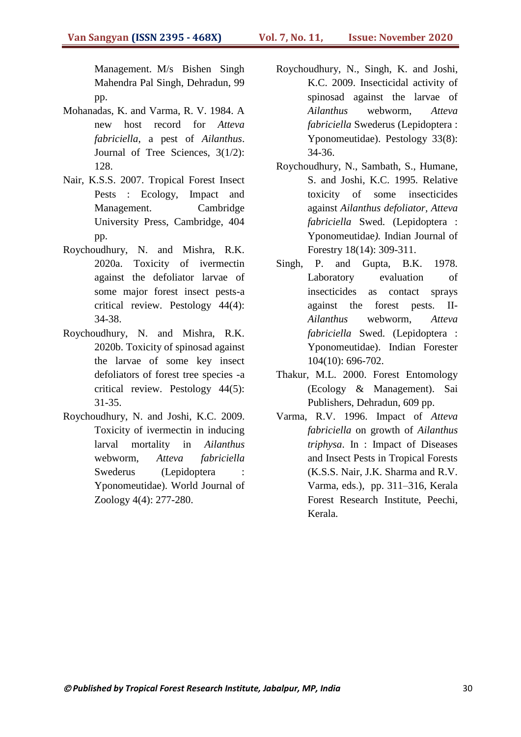Management. M/s Bishen Singh Mahendra Pal Singh, Dehradun, 99 pp.

- Mohanadas, K. and Varma, R. V. 1984. A new host record for *Atteva fabriciella*, a pest of *Ailanthus*. Journal of Tree Sciences, 3(1/2): 128.
- Nair, K.S.S. 2007. Tropical Forest Insect Pests : Ecology, Impact and Management. Cambridge University Press, Cambridge, 404 pp.
- Roychoudhury, N. and Mishra, R.K. 2020a. Toxicity of ivermectin against the defoliator larvae of some major forest insect pests-a critical review. Pestology 44(4): 34-38.
- Roychoudhury, N. and Mishra, R.K. 2020b. Toxicity of spinosad against the larvae of some key insect defoliators of forest tree species -a critical review. Pestology 44(5): 31-35.
- Roychoudhury, N. and Joshi, K.C. 2009. Toxicity of ivermectin in inducing larval mortality in *Ailanthus*  webworm, *Atteva fabriciella*  Swederus (Lepidoptera Yponomeutidae). World Journal of Zoology 4(4): 277-280.
- Roychoudhury, N., Singh, K. and Joshi, K.C. 2009. Insecticidal activity of spinosad against the larvae of *Ailanthus* webworm*, Atteva fabriciella* Swederus (Lepidoptera : Yponomeutidae). Pestology 33(8): 34-36.
- Roychoudhury, N., Sambath, S., Humane, S. and Joshi, K.C. 1995. Relative toxicity of some insecticides against *Ailanthus defoliator, Atteva fabriciella* Swed. (Lepidoptera : Yponomeutidae*).* Indian Journal of Forestry 18(14): 309-311.
- Singh, P. and Gupta, B.K. 1978. Laboratory evaluation of insecticides as contact sprays against the forest pests. II-*Ailanthus* webworm, *Atteva fabriciella* Swed. (Lepidoptera : Yponomeutidae). Indian Forester 104(10): 696-702.
- Thakur, M.L. 2000. Forest Entomology (Ecology & Management). Sai Publishers, Dehradun, 609 pp.
- Varma, R.V. 1996. Impact of *Atteva fabriciella* on growth of *Ailanthus triphysa*. In : Impact of Diseases and Insect Pests in Tropical Forests (K.S.S. Nair, J.K. Sharma and R.V. Varma, eds.), pp. 311–316, Kerala Forest Research Institute, Peechi, Kerala.